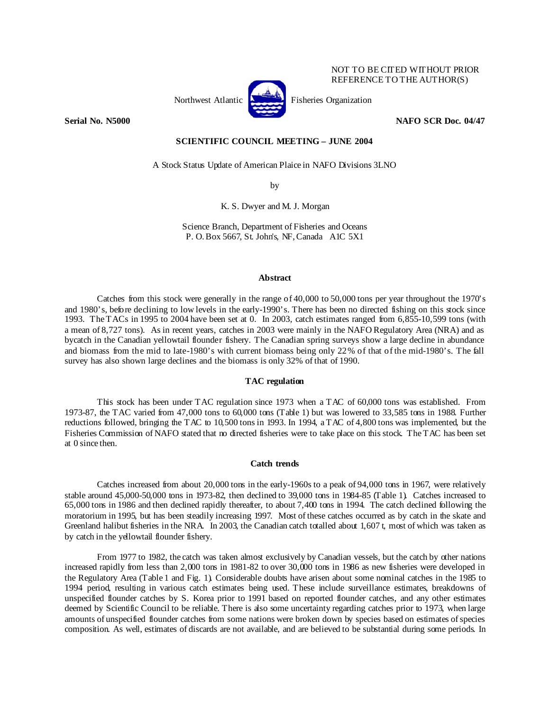

NOT TO BE CITED WITHOUT PRIOR REFERENCE TO THE AUTHOR(S)

## **Serial No. N5000 NAFO SCR Doc. 04/47 NAFO SCR Doc. 04/47**

## **SCIENTIFIC COUNCIL MEETING – JUNE 2004**

A Stock Status Update of American Plaice in NAFO Divisions 3LNO

by

K. S. Dwyer and M. J. Morgan

Science Branch, Department of Fisheries and Oceans P. O. Box 5667, St. John's, NF, Canada A1C 5X1

### **Abstract**

Catches from this stock were generally in the range of 40,000 to 50,000 tons per year throughout the 1970's and 1980's, before declining to low levels in the early-1990's. There has been no directed fishing on this stock since 1993. The TACs in 1995 to 2004 have been set at 0. In 2003, catch estimates ranged from 6,855-10,599 tons (with a mean of 8,727 tons). As in recent years, catches in 2003 were mainly in the NAFO Regulatory Area (NRA) and as bycatch in the Canadian yellowtail flounder fishery. The Canadian spring surveys show a large decline in abundance and biomass from the mid to late-1980's with current biomass being only 22% of that of the mid-1980's. The fall survey has also shown large declines and the biomass is only 32% of that of 1990.

## **TAC regulation**

 This stock has been under TAC regulation since 1973 when a TAC of 60,000 tons was established. From 1973-87, the TAC varied from 47,000 tons to 60,000 tons (Table 1) but was lowered to 33,585 tons in 1988. Further reductions followed, bringing the TAC to 10,500 tons in 1993. In 1994, a TAC of 4,800 tons was implemented, but the Fisheries Commission of NAFO stated that no directed fisheries were to take place on this stock. The TAC has been set at 0 since then.

## **Catch trends**

 Catches increased from about 20,000 tons in the early-1960s to a peak of 94,000 tons in 1967, were relatively stable around 45,000-50,000 tons in 1973-82, then declined to 39,000 tons in 1984-85 (Table 1). Catches increased to 65,000 tons in 1986 and then declined rapidly thereafter, to about 7,400 tons in 1994. The catch declined following the moratorium in 1995, but has been steadily increasing 1997. Most of these catches occurred as by catch in the skate and Greenland halibut fisheries in the NRA. In 2003, the Canadian catch totalled about 1,607 t, most of which was taken as by catch in the yellowtail flounder fishery.

 From 1977 to 1982, the catch was taken almost exclusively by Canadian vessels, but the catch by other nations increased rapidly from less than 2,000 tons in 1981-82 to over 30,000 tons in 1986 as new fisheries were developed in the Regulatory Area (Table 1 and Fig. 1). Considerable doubts have arisen about some nominal catches in the 1985 to 1994 period, resulting in various catch estimates being used. These include surveillance estimates, breakdowns of unspecified flounder catches by S. Korea prior to 1991 based on reported flounder catches, and any other estimates deemed by Scientific Council to be reliable. There is also some uncertainty regarding catches prior to 1973, when large amounts of unspecified flounder catches from some nations were broken down by species based on estimates of species composition. As well, estimates of discards are not available, and are believed to be substantial during some periods. In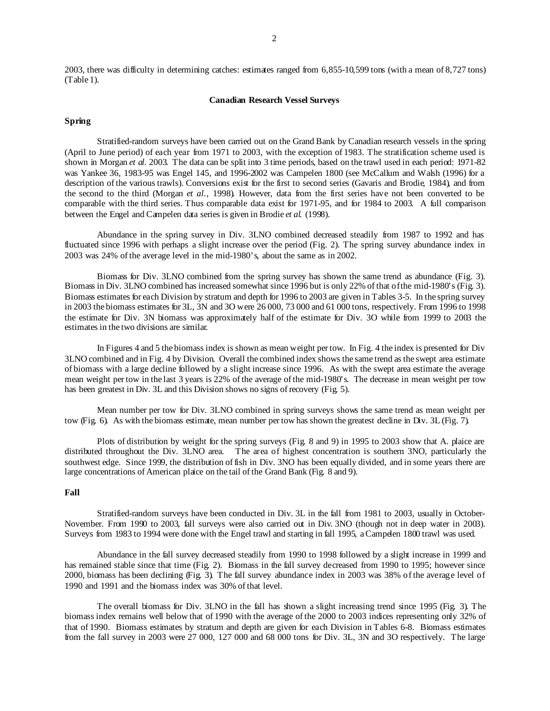2003, there was difficulty in determining catches: estimates ranged from 6,855-10,599 tons (with a mean of 8,727 tons) (Table 1).

## **Canadian Research Vessel Surveys**

### **Spring**

 Stratified-random surveys have been carried out on the Grand Bank by Canadian research vessels in the spring (April to June period) of each year from 1971 to 2003, with the exception of 1983. The stratification scheme used is shown in Morgan *et al.* 2003. The data can be split into 3 time periods, based on the trawl used in each period: 1971-82 was Yankee 36, 1983-95 was Engel 145, and 1996-2002 was Campelen 1800 (see McCallum and Walsh (1996) for a description of the various trawls). Conversions exist for the first to second series (Gavaris and Brodie, 1984), and from the second to the third (Morgan *et al*., 1998). However, data from the first series have not been converted to be comparable with the third series. Thus comparable data exist for 1971-95, and for 1984 to 2003. A full comparison between the Engel and Campelen data series is given in Brodie *et al.* (1998).

 Abundance in the spring survey in Div. 3LNO combined decreased steadily from 1987 to 1992 and has fluctuated since 1996 with perhaps a slight increase over the period (Fig. 2). The spring survey abundance index in 2003 was 24% of the average level in the mid-1980's, about the same as in 2002.

 Biomass for Div. 3LNO combined from the spring survey has shown the same trend as abundance (Fig. 3). Biomass in Div. 3LNO combined has increased somewhat since 1996 but is only 22% of that of the mid-1980's (Fig. 3). Biomass estimates for each Division by stratum and depth for 1996 to 2003 are given in Tables 3-5. In the spring survey in 2003 the biomass estimates for 3L, 3N and 3O were 26 000, 73 000 and 61 000 tons, respectively. From 1996 to 1998 the estimate for Div. 3N biomass was approximately half of the estimate for Div. 3O while from 1999 to 2003 the estimates in the two divisions are similar.

 In Figures 4 and 5 the biomass index is shown as mean weight per tow. In Fig. 4 the index is presented for Div 3LNO combined and in Fig. 4 by Division. Overall the combined index shows the same trend as the swept area estimate of biomass with a large decline followed by a slight increase since 1996. As with the swept area estimate the average mean weight per tow in the last 3 years is 22% of the average of the mid-1980's. The decrease in mean weight per tow has been greatest in Div. 3L and this Division shows no signs of recovery (Fig. 5).

 Mean number per tow for Div. 3LNO combined in spring surveys shows the same trend as mean weight per tow (Fig. 6). As with the biomass estimate, mean number per tow has shown the greatest decline in Div. 3L (Fig. 7).

 Plots of distribution by weight for the spring surveys (Fig. 8 and 9) in 1995 to 2003 show that A. plaice are distributed throughout the Div. 3LNO area. The area of highest concentration is southern 3NO, particularly the southwest edge. Since 1999, the distribution of fish in Div. 3NO has been equally divided, and in some years there are large concentrations of American plaice on the tail of the Grand Bank (Fig. 8 and 9).

#### **Fall**

 Stratified-random surveys have been conducted in Div. 3L in the fall from 1981 to 2003, usually in October-November. From 1990 to 2003, fall surveys were also carried out in Div. 3NO (though not in deep water in 2003). Surveys from 1983 to 1994 were done with the Engel trawl and starting in fall 1995, a Campelen 1800 trawl was used.

 Abundance in the fall survey decreased steadily from 1990 to 1998 followed by a slight increase in 1999 and has remained stable since that time (Fig. 2). Biomass in the fall survey decreased from 1990 to 1995; however since 2000, biomass has been declining (Fig. 3). The fall survey abundance index in 2003 was 38% of the average level of 1990 and 1991 and the biomass index was 30% of that level.

 The overall biomass for Div. 3LNO in the fall has shown a slight increasing trend since 1995 (Fig. 3). The biomass index remains well below that of 1990 with the average of the 2000 to 2003 indices representing only 32% of that of 1990. Biomass estimates by stratum and depth are given for each Division in Tables 6-8. Biomass estimates from the fall survey in 2003 were 27 000, 127 000 and 68 000 tons for Div. 3L, 3N and 3O respectively. The large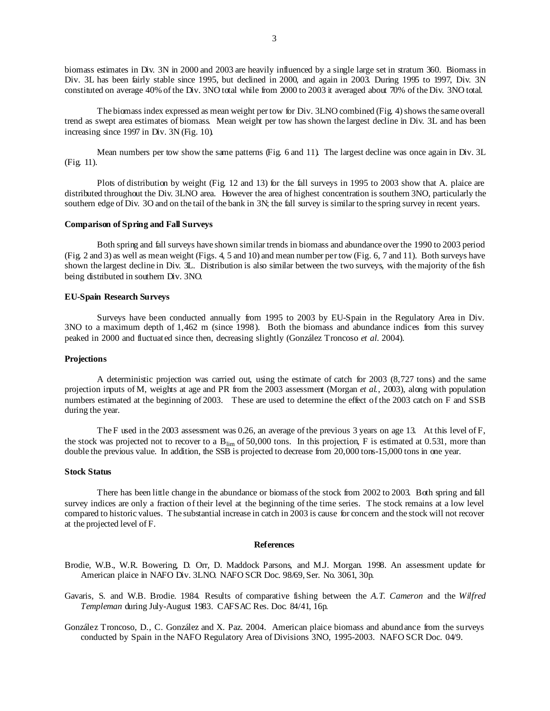biomass estimates in Div. 3N in 2000 and 2003 are heavily influenced by a single large set in stratum 360. Biomass in Div. 3L has been fairly stable since 1995, but declined in 2000, and again in 2003. During 1995 to 1997, Div. 3N constituted on average 40% of the Div. 3NO total while from 2000 to 2003 it averaged about 70% of the Div. 3NO total.

 The biomass index expressed as mean weight per tow for Div. 3LNO combined (Fig. 4) shows the same overall trend as swept area estimates of biomass. Mean weight per tow has shown the largest decline in Div. 3L and has been increasing since 1997 in Div. 3N (Fig. 10).

 Mean numbers per tow show the same patterns (Fig. 6 and 11). The largest decline was once again in Div. 3L (Fig. 11).

Plots of distribution by weight (Fig. 12 and 13) for the fall surveys in 1995 to 2003 show that A. plaice are distributed throughout the Div. 3LNO area. However the area of highest concentration is southern 3NO, particularly the southern edge of Div. 3O and on the tail of the bank in 3N; the fall survey is similar to the spring survey in recent years.

### **Comparison of Spring and Fall Surveys**

 Both spring and fall surveys have shown similar trends in biomass and abundance over the 1990 to 2003 period (Fig. 2 and 3) as well as mean weight (Figs. 4, 5 and 10) and mean number per tow (Fig. 6, 7 and 11). Both surveys have shown the largest decline in Div. 3L. Distribution is also similar between the two surveys, with the majority of the fish being distributed in southern Div. 3NO.

# **EU-Spain Research Surveys**

 Surveys have been conducted annually from 1995 to 2003 by EU-Spain in the Regulatory Area in Div. 3NO to a maximum depth of 1,462 m (since 1998). Both the biomass and abundance indices from this survey peaked in 2000 and fluctuated since then, decreasing slightly (González Troncoso *et al.* 2004).

## **Projections**

 A deterministic projection was carried out, using the estimate of catch for 2003 (8,727 tons) and the same projection inputs of M, weights at age and PR from the 2003 assessment (Morgan *et al.*, 2003), along with population numbers estimated at the beginning of 2003. These are used to determine the effect of the 2003 catch on F and SSB during the year.

 The F used in the 2003 assessment was 0.26, an average of the previous 3 years on age 13. At this level of F, the stock was projected not to recover to a  $B_{lim}$  of 50,000 tons. In this projection, F is estimated at 0.531, more than double the previous value. In addition, the SSB is projected to decrease from 20,000 tons-15,000 tons in one year.

### **Stock Status**

 There has been little change in the abundance or biomass of the stock from 2002 to 2003. Both spring and fall survey indices are only a fraction of their level at the beginning of the time series. The stock remains at a low level compared to historic values. The substantial increase in catch in 2003 is cause for concern and the stock will not recover at the projected level of F.

#### **References**

Brodie, W.B., W.R. Bowering, D. Orr, D. Maddock Parsons, and M.J. Morgan. 1998. An assessment update for American plaice in NAFO Div. 3LNO. NAFO SCR Doc. 98/69, Ser. No. 3061, 30p.

Gavaris, S. and W.B. Brodie. 1984. Results of comparative fishing between the *A.T. Cameron* and the *Wilfred Templeman* during July-August 1983. CAFSAC Res. Doc. 84/41, 16p.

González Troncoso, D., C. González and X. Paz. 2004. American plaice biomass and abundance from the surveys conducted by Spain in the NAFO Regulatory Area of Divisions 3NO, 1995-2003. NAFO SCR Doc. 04/9.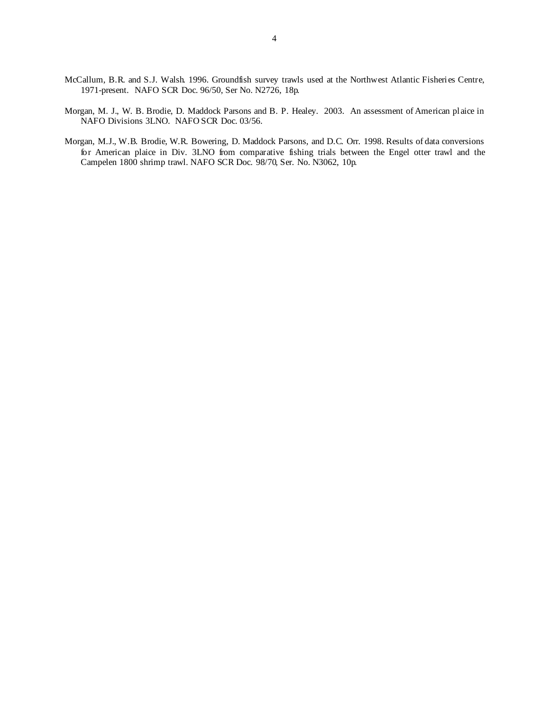- McCallum, B.R. and S.J. Walsh. 1996. Groundfish survey trawls used at the Northwest Atlantic Fisheries Centre, 1971-present. NAFO SCR Doc. 96/50, Ser No. N2726, 18p.
- Morgan, M. J., W. B. Brodie, D. Maddock Parsons and B. P. Healey. 2003. An assessment of American plaice in NAFO Divisions 3LNO. NAFO SCR Doc. 03/56.
- Morgan, M.J., W.B. Brodie, W.R. Bowering, D. Maddock Parsons, and D.C. Orr. 1998. Results of data conversions for American plaice in Div. 3LNO from comparative fishing trials between the Engel otter trawl and the Campelen 1800 shrimp trawl. NAFO SCR Doc. 98/70, Ser. No. N3062, 10p.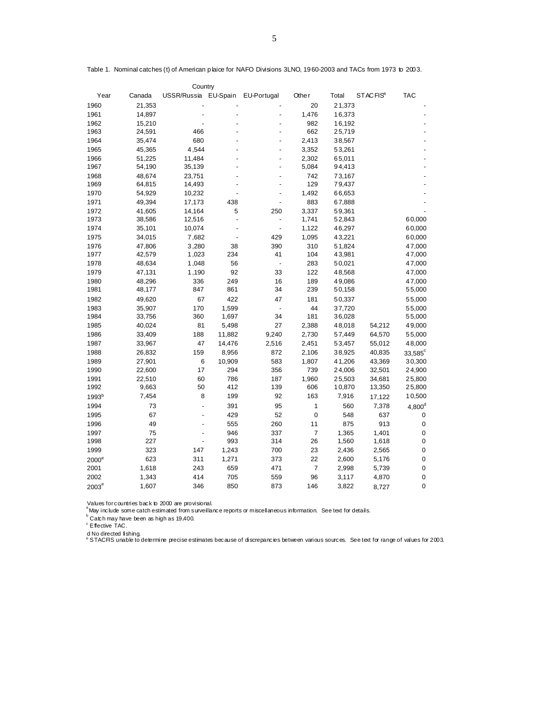| Country           |        |                      |                |                          |        |        |                      |                |  |  |  |
|-------------------|--------|----------------------|----------------|--------------------------|--------|--------|----------------------|----------------|--|--|--|
| Year              | Canada | USSR/Russia EU-Spain |                | EU-Portugal              | Othe r | Total  | STACFIS <sup>a</sup> | <b>TAC</b>     |  |  |  |
| 1960              | 21,353 |                      |                |                          | 20     | 21,373 |                      |                |  |  |  |
| 1961              | 14,897 |                      |                |                          | 1,476  | 16,373 |                      |                |  |  |  |
| 1962              | 15,210 |                      |                |                          | 982    | 16,192 |                      |                |  |  |  |
| 1963              | 24,591 | 466                  |                |                          | 662    | 25,719 |                      |                |  |  |  |
| 1964              | 35,474 | 680                  |                |                          | 2,413  | 38,567 |                      |                |  |  |  |
| 1965              | 45,365 | 4,544                |                |                          | 3,352  | 53,261 |                      |                |  |  |  |
| 1966              | 51,225 | 11,484               |                |                          | 2,302  | 65,011 |                      |                |  |  |  |
| 1967              | 54,190 | 35,139               |                | $\overline{a}$           | 5,084  | 94,413 |                      |                |  |  |  |
| 1968              | 48,674 | 23,751               |                |                          | 742    | 73,167 |                      |                |  |  |  |
| 1969              | 64,815 | 14,493               |                |                          | 129    | 79,437 |                      |                |  |  |  |
| 1970              | 54,929 | 10,232               |                |                          | 1,492  | 66,653 |                      |                |  |  |  |
| 1971              | 49,394 | 17,173               | 438            |                          | 883    | 67,888 |                      |                |  |  |  |
| 1972              | 41,605 | 14,164               | 5              | 250                      | 3,337  | 59,361 |                      |                |  |  |  |
| 1973              | 38,586 | 12,516               | $\overline{a}$ |                          | 1,741  | 52,843 |                      | 60,000         |  |  |  |
| 1974              | 35,101 | 10,074               |                | $\overline{a}$           | 1,122  | 46,297 |                      | 60,000         |  |  |  |
| 1975              | 34,015 | 7,682                |                | 429                      | 1,095  | 43,221 |                      | 60,000         |  |  |  |
| 1976              | 47,806 | 3,280                | 38             | 390                      | 310    | 51,824 |                      | 47,000         |  |  |  |
| 1977              | 42,579 | 1,023                | 234            | 41                       | 104    | 43,981 |                      | 47,000         |  |  |  |
| 1978              | 48,634 | 1,048                | 56             | $\overline{\phantom{a}}$ | 283    | 50,021 |                      | 47,000         |  |  |  |
| 1979              | 47,131 | 1,190                | 92             | 33                       | 122    | 48,568 |                      | 47,000         |  |  |  |
| 1980              | 48,296 | 336                  | 249            | 16                       | 189    | 49,086 |                      | 47,000         |  |  |  |
| 1981              | 48,177 | 847                  | 861            | 34                       | 239    | 50,158 |                      | 55,000         |  |  |  |
| 1982              | 49,620 | 67                   | 422            | 47                       | 181    | 50,337 |                      | 55,000         |  |  |  |
| 1983              | 35,907 | 170                  | 1,599          |                          | 44     | 37,720 |                      | 55,000         |  |  |  |
| 1984              | 33,756 | 360                  | 1,697          | 34                       | 181    | 36,028 |                      | 55,000         |  |  |  |
| 1985              | 40,024 | 81                   | 5,498          | 27                       | 2,388  | 48,018 | 54,212               | 49,000         |  |  |  |
| 1986              | 33,409 | 188                  | 11,882         | 9,240                    | 2,730  | 57,449 | 64,570               | 55,000         |  |  |  |
| 1987              | 33,967 | 47                   | 14,476         | 2,516                    | 2,451  | 53,457 | 55,012               | 48,000         |  |  |  |
| 1988              | 26,832 | 159                  | 8,956          | 872                      | 2,106  | 38,925 | 40,835               | $33,585^\circ$ |  |  |  |
| 1989              | 27,901 | 6                    | 10,909         | 583                      | 1,807  | 41,206 | 43,369               | 30,300         |  |  |  |
| 1990              | 22,600 | 17                   | 294            | 356                      | 739    | 24,006 | 32,501               | 24,900         |  |  |  |
| 1991              | 22,510 | 60                   | 786            | 187                      | 1,960  | 25,503 | 34,681               | 25,800         |  |  |  |
| 1992              | 9,663  | 50                   | 412            | 139                      | 606    | 10,870 | 13,350               | 25,800         |  |  |  |
| 1993 <sup>b</sup> | 7,454  | 8                    | 199            | 92                       | 163    | 7,916  | 17,122               | 10,500         |  |  |  |
| 1994              | 73     |                      | 391            | 95                       | 1      | 560    | 7,378                | $4,800^d$      |  |  |  |
| 1995              | 67     |                      | 429            | 52                       | 0      | 548    | 637                  | 0              |  |  |  |
| 1996              | 49     |                      | 555            | 260                      | 11     | 875    | 913                  | 0              |  |  |  |
| 1997              | 75     |                      | 946            | 337                      | 7      | 1,365  | 1,401                | $\mathbf 0$    |  |  |  |
| 1998              | 227    |                      | 993            | 314                      | 26     | 1,560  | 1,618                | $\mathbf 0$    |  |  |  |
| 1999              | 323    | 147                  | 1,243          | 700                      | 23     | 2,436  | 2,565                | 0              |  |  |  |
| 2000 <sup>e</sup> | 623    | 311                  | 1,271          | 373                      | 22     | 2,600  | 5,176                | 0              |  |  |  |
| 2001              | 1,618  | 243                  | 659            | 471                      | 7      | 2,998  | 5,739                | 0              |  |  |  |
| 2002              | 1,343  | 414                  | 705            | 559                      | 96     | 3,117  | 4,870                | $\mathbf 0$    |  |  |  |
| $2003^e$          | 1,607  | 346                  | 850            | 873                      | 146    | 3,822  | 8,727                | $\mathbf 0$    |  |  |  |
|                   |        |                      |                |                          |        |        |                      |                |  |  |  |

Table 1. Nominal catches (t) of American plaice for NAFO Divisions 3LNO, 1960-2003 and TACs from 1973 to 2003.

Values for countries back to 2000 are provisional.<br><sup>a</sup>May include some catch estimated from surveillance reports or miscellaneous information. See text for details.<br><sup>b</sup> Catch may have been as high as 19,400.

<sup>c</sup> Effective TAC.

d No directed fishing. e STACFIS unable to determine precise estimates because of discrepancies between various sources. See text for range of values for 2003.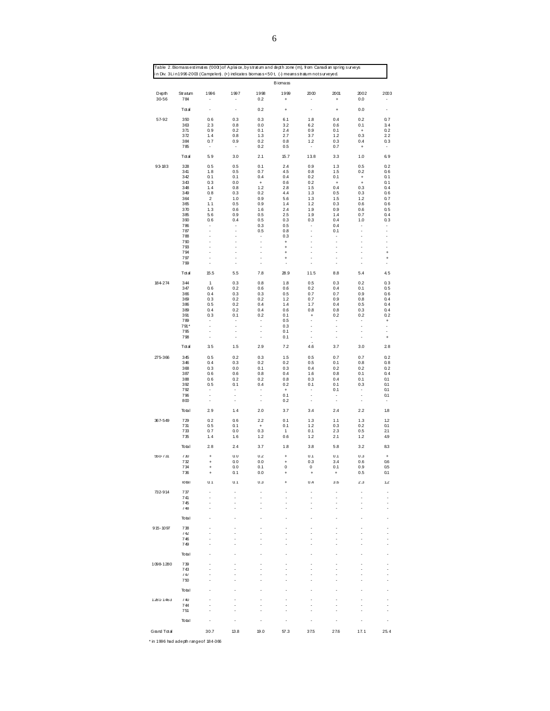|                |                |                                                      |                                                      |                          | <b>B</b> iomass        |                                                      |                                |                                         |                                  |
|----------------|----------------|------------------------------------------------------|------------------------------------------------------|--------------------------|------------------------|------------------------------------------------------|--------------------------------|-----------------------------------------|----------------------------------|
| Depth<br>30-56 | Stratum<br>784 | 1996                                                 | 1997<br>٠                                            | 1998<br>0.2              | 1999<br>$\ddot{}$      | 2000                                                 | 2001<br>$\ddot{}$              | 2002<br>0.0                             | 2003                             |
|                | $T \alpha a$   | $\frac{1}{2}$                                        | $\overline{\phantom{a}}$                             | 0.2                      | $\ddot{}$              | ٠                                                    | $\ddot{}$                      | 0.0                                     |                                  |
| 57-92          | 350            | 0.6                                                  | 0.3                                                  | 0.3                      | 6.1                    | 1.8                                                  | 0.4                            | 0.2                                     | 0.7                              |
|                | 363<br>371     | 23<br>0.9                                            | 0.8<br>0.2                                           | 0.0<br>0.1               | 3.2<br>2.4             | 6.2<br>0.9                                           | 0.6<br>0.1                     | 0.1<br>$\begin{array}{c} + \end{array}$ | 3.4<br>0.2                       |
|                | 372            | 1, 4                                                 | 0.8                                                  | $1.3$                    | 2.7                    | 3.7                                                  | $1.2$                          | 0.3                                     | 22                               |
|                | 384<br>785     | 0.7                                                  | 0.9                                                  | 0.2<br>0.2               | 0.8<br>0.5             | 1.2<br>$\overline{\phantom{a}}$                      | 0.3<br>0.7                     | 0.4<br>$\ddot{}$                        | 0.3                              |
|                | Total          | 5.9                                                  | 3.0                                                  | 2.1                      | 15.7                   | 138                                                  | 3.3                            | 1.0                                     | 6.9                              |
| 93-183         | 328<br>341     | 0.5                                                  | 0.5                                                  | 0.1<br>0.7               | 2.4                    | 0.9                                                  | 1.3<br>1.5                     | 0.5                                     | 0.2                              |
|                | 342            | 1.8<br>0.1                                           | 0.5<br>0.1                                           | 0.4                      | 4.5<br>0.4             | 0.8<br>0.2                                           | 0.1                            | 0.2<br>$\ddot{}$                        | 0.6<br>0.1                       |
|                | 343<br>348     | 0.3<br>1.4                                           | 0.0<br>0.8                                           | $\bf{+}$<br>1.2          | 0.6<br>2.8             | 0.2<br>1.5                                           | $\ddot{}$<br>0.4               | $\begin{array}{c} + \end{array}$<br>0.3 | 0.1<br>0.4                       |
|                | 349            | 0.8                                                  | 0.3                                                  | 0.2                      | 4.4                    | 1.3                                                  | 0.5                            | 0.3                                     | 0.6                              |
|                | 364<br>365     | 2<br>1.1                                             | 1.0<br>0.5                                           | 0.9<br>0.9               | 5.6<br>1.4             | 1.3<br>1.2                                           | 1.5<br>0.3                     | 1.2<br>0.6                              | 0.7<br>0.6                       |
|                | 370            | 1.3                                                  | 0.6                                                  | 1.6                      | 2.4                    | 1.9                                                  | 0.9                            | 0.6                                     | 0.5                              |
|                | 385<br>390     | 5.6<br>0.6                                           | 0.9<br>0.4                                           | 0.5<br>0.5               | 2.5<br>0.3             | 1.9<br>0.3                                           | 1.4<br>0.4                     | 0.7<br>1.0                              | 0.4<br>0.3                       |
|                | 786            | ٠                                                    | ٠                                                    | 0.3                      | 0.5                    | ٠                                                    | 0.4                            | ٠                                       |                                  |
|                | 787<br>788     | ÷<br>÷                                               | $\overline{\phantom{a}}$<br>$\overline{\phantom{a}}$ | 0.5<br>٠                 | 0.8<br>0.3             | ÷,<br>$\overline{a}$                                 | 0.1<br>٠                       | ÷,<br>$\overline{\phantom{a}}$          | ÷<br>٠                           |
|                | 790            | $\overline{\phantom{a}}$                             | $\blacksquare$                                       | $\overline{\phantom{a}}$ | $\ddot{}$              | ÷,                                                   | ÷                              | ÷,                                      | -                                |
|                | 793<br>794     | $\overline{\phantom{a}}$<br>$\overline{\phantom{a}}$ | $\blacksquare$<br>$\blacksquare$                     | $\overline{\phantom{a}}$ | $\ddot{}$              | ÷,<br>÷,                                             | ÷,<br>÷,                       | ÷,                                      | ÷,                               |
|                | 797            | $\overline{\phantom{a}}$                             | $\blacksquare$                                       | $\overline{a}$           | $\ddot{}$<br>$\ddot{}$ | $\blacksquare$                                       |                                | ÷,<br>$\overline{\phantom{a}}$          | $\ddot{}$<br>$\ddot{}$           |
|                | 799            | ÷,                                                   | $\overline{a}$                                       | ٠                        |                        | $\overline{a}$                                       |                                | ÷,                                      | $\frac{1}{2}$                    |
|                | $T \alpha a$   | 15.5                                                 | 5.5                                                  | 7.8                      | 28.9                   | 11.5                                                 | 8.8                            | 5.4                                     | 4.5                              |
| 184-274        | 344<br>347     | $\mathbf{1}$<br>0.6                                  | 0.3<br>0.2                                           | 0.8<br>0.6               | 1.8<br>0.6             | 0.5<br>0.2                                           | 0.3<br>0.4                     | 0.2<br>0.1                              | 0.3<br>0.5                       |
|                | 366            | 0.4                                                  | 0.3                                                  | 0.3                      | 0.5                    | 0.7                                                  | 0.7                            | 0.9                                     | 0.6                              |
|                | 369<br>386     | 0.3<br>0.5                                           | 0.2<br>0.2                                           | 0.2<br>0.4               | 1.2<br>1.4             | 0.7<br>1.7                                           | 0.9<br>0.4                     | 0.8<br>0.5                              | 0.4<br>0.4                       |
|                | 389            | 0.4                                                  | 0.2                                                  | 0.4                      | 0.6                    | 0.8                                                  | 0.8                            | 0.3                                     | 0.4                              |
|                | 391<br>789     | 0.3<br>٠                                             | 0.1<br>$\overline{a}$                                | 0.2<br>٠                 | 0.1<br>0.5             | $\ddot{}$<br>ä,                                      | 0.2<br>$\overline{a}$          | 0.2<br>$\overline{a}$                   | 0.2<br>$\ddot{}$                 |
|                | 791*           | ÷,                                                   | $\overline{\phantom{a}}$                             | ÷,                       | 0.3                    | $\overline{\phantom{a}}$                             | ÷,                             | ÷                                       | $\overline{a}$                   |
|                | 795<br>798     | ÷<br>$\overline{\phantom{a}}$                        | $\overline{\phantom{a}}$<br>$\overline{\phantom{a}}$ | ÷<br>÷                   | 0.1<br>0.1             | $\overline{\phantom{a}}$<br>$\overline{\phantom{a}}$ | ÷,<br>$\overline{\phantom{a}}$ | ÷,<br>$\overline{\phantom{a}}$          | ä,<br>$\ddot{}$                  |
|                | Total          | 35                                                   | 1.5                                                  | 2.9                      | 7.2                    | 4.6                                                  | 3.7                            | 3.0                                     | 28                               |
| 275-366        | 345            | 0.5                                                  | 0.2                                                  | 0.3                      | 1.5                    | 0.5                                                  | 0.7                            | 0.7                                     | 0.2                              |
|                | 346<br>368     | 0.4<br>0.3                                           | 0.3<br>0.0                                           | 0.2<br>0.1               | 0.2<br>0.3             | 0.5<br>0.4                                           | 0.1<br>0.2                     | 0.8<br>0.2                              | 0.8<br>0.2                       |
|                | 387            | 0.6                                                  | 0.6                                                  | 0.8                      | 0.4                    | 1.6                                                  | 0.8                            | 0.1                                     | 0.4                              |
|                | 388<br>392     | 0.6<br>0.5                                           | 0.2<br>0.1                                           | 0.2<br>0.4               | 0.8<br>0.2             | 0.3<br>0.1                                           | 0.4<br>0.1                     | 0.1<br>0.3                              | 0.1<br>0.1                       |
|                | 792<br>796     | ۰<br>÷                                               | ٠<br>٠                                               | ٠<br>÷,                  | $\ddot{}$<br>0.1       | ۰<br>$\overline{\phantom{a}}$                        | 0.1<br>٠                       | ÷<br>$\overline{\phantom{a}}$           | 0.1<br>0.1                       |
|                | 800            | ۰                                                    | $\overline{\phantom{a}}$                             | ÷,                       | 0.2                    | $\overline{\phantom{a}}$                             | $\overline{\phantom{a}}$       | $\overline{\phantom{a}}$                | ٠                                |
|                | Total          | 29                                                   | 1.4                                                  | 2.0                      | 3.7                    | 3.4                                                  | 2.4                            | 2.2                                     | 1.8                              |
| 367-549        | 729<br>731     | 0.2<br>0.5                                           | 0.6<br>0.1                                           | 2.2<br>$\bf{+}$          | 0.1<br>0.1             | 1.3<br>1.2                                           | 1.1<br>0.3                     | 1.3<br>0.2                              | 1.2<br>0.1                       |
|                | 733<br>735     | 0.7<br>1.4                                           | 0.0<br>1.6                                           | 0.3<br>1.2               | 1<br>0.6               | 0.1<br>1.2                                           | 2.3<br>2.1                     | 0.5<br>1.2                              | 21<br>4.9                        |
|                | Total          | 28                                                   | 2.4                                                  | 3.7                      | 1.8                    | 3.8                                                  | 5.8                            | $3.2\,$                                 | 8.3                              |
| 550-731        | 730            | ÷                                                    | 0.0                                                  | 0.2                      | $\ddot{}$              | 0.1                                                  | 0.1                            | 0.3                                     | $\ddot{}$                        |
|                | 732<br>734     | $\ddot{}$                                            | 0.0<br>0.0                                           | $0.0\,$<br>0.1           | $\ddot{}$<br>0         | 0.3<br>0                                             | 3.4<br>0.1                     | 0.6<br>0.9                              | 0.6<br>0.5                       |
|                | 736            | $\ddot{}$                                            | 0.1                                                  | 0.0                      | $\ddot{}$              | $\ddot{}$                                            | $\ddot{}$                      | 0.5                                     | 0.1                              |
|                | lotal          | 0.1                                                  | 0.1                                                  | 0.3                      | $\ddot{}$              | 0.4                                                  | 3.6                            | 2.3                                     | 1.2                              |
| 732-914        | 737<br>741     |                                                      |                                                      |                          |                        | ٠<br>$\frac{1}{2}$                                   | $\overline{\phantom{a}}$       | $\overline{a}$<br>٠                     | ٠<br>$\overline{\phantom{a}}$    |
|                | 745<br>748     |                                                      |                                                      |                          |                        |                                                      |                                |                                         |                                  |
|                | lotal          |                                                      |                                                      |                          |                        | J.                                                   |                                |                                         | $\tilde{\phantom{a}}$            |
| $915 - 1097$   | 738            |                                                      |                                                      |                          |                        |                                                      |                                | ä,                                      | $\overline{\phantom{a}}$         |
|                | 742            | ä,                                                   |                                                      |                          |                        |                                                      | ä,                             | ä,                                      | $\blacksquare$                   |
|                | 746<br>749     | ä,                                                   |                                                      |                          |                        | ä,<br>ä,                                             | ä,                             | ä,<br>ä,                                | $\blacksquare$<br>$\overline{a}$ |
|                | Total          |                                                      |                                                      |                          |                        | -                                                    | -                              |                                         | ٠                                |
| 1098-1280      | 739            |                                                      |                                                      |                          |                        |                                                      |                                |                                         |                                  |
|                | 743<br>747     |                                                      |                                                      |                          |                        |                                                      |                                |                                         |                                  |
|                | 750            |                                                      |                                                      |                          |                        |                                                      |                                |                                         |                                  |
|                | lotal          |                                                      |                                                      |                          |                        | ä,                                                   |                                |                                         |                                  |
| 1281-1463      | 740            |                                                      |                                                      |                          |                        |                                                      |                                |                                         |                                  |
|                | 744<br>751     |                                                      |                                                      |                          |                        |                                                      |                                |                                         |                                  |
|                | lotal          | $\overline{\phantom{a}}$                             | ä,                                                   | ٠                        | ä,                     | ÷,                                                   |                                |                                         |                                  |
| Grand Total    |                | 30.7                                                 | 13.8                                                 | 19.0                     | 57.3                   | 37.5                                                 | 27.6                           | 17.1                                    | 25.4                             |
|                |                |                                                      |                                                      |                          |                        |                                                      |                                |                                         |                                  |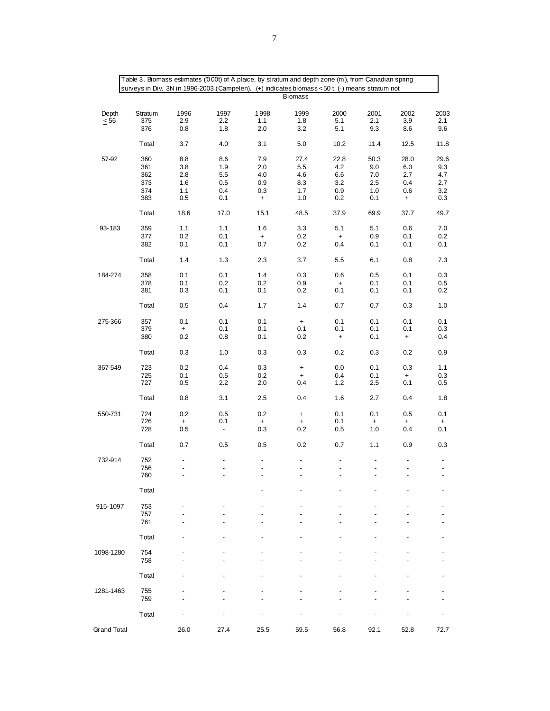| surveys in Div. 3N in 1996-2003 (Campelen). (+) indicates biomass <50 t, (-) means stratum not<br><b>Biomass</b><br>Depth<br>Stratum<br>1996<br>1997<br>1998<br>1999<br>2000<br>2001<br>2002<br>2003<br>375<br>2.9<br>1.1<br>1.8<br>5.1<br>2.1<br>3.9<br>$\leq 56$<br>2.2<br>2.1<br>376<br>2.0<br>3.2<br>5.1<br>9.3<br>8.6<br>9.6<br>0.8<br>1.8<br>5.0<br>Total<br>3.7<br>4.0<br>3.1<br>10.2<br>11.4<br>12.5<br>11.8<br>57-92<br>360<br>8.8<br>7.9<br>27.4<br>22.8<br>50.3<br>28.0<br>29.6<br>8.6<br>9.0<br>361<br>3.8<br>1.9<br>2.0<br>5.5<br>4.2<br>6.0<br>9.3<br>362<br>5.5<br>4.0<br>4.6<br>6.6<br>7.0<br>2.7<br>2.8<br>4.7<br>0.9<br>8.3<br>3.2<br>0.4<br>373<br>1.6<br>0.5<br>2.5<br>2.7<br>374<br>1.1<br>0.4<br>0.3<br>1.7<br>0.9<br>1.0<br>0.6<br>3.2<br>383<br>0.5<br>0.1<br>1.0<br>0.2<br>0.1<br>$\ddot{}$<br>$\begin{array}{c} + \end{array}$<br>0.3<br>Total<br>18.6<br>17.0<br>48.5<br>37.9<br>69.9<br>37.7<br>49.7<br>15.1<br>93-183<br>359<br>1.1<br>1.1<br>1.6<br>3.3<br>5.1<br>5.1<br>0.6<br>7.0<br>377<br>0.2<br>0.1<br>0.2<br>0.9<br>0.1<br>$\ddot{}$<br>$\ddot{}$<br>0.2<br>382<br>0.1<br>0.1<br>0.7<br>0.2<br>0.4<br>0.1<br>0.1<br>0.1<br>1.4<br>1.3<br>2.3<br>3.7<br>5.5<br>6.1<br>0.8<br>7.3<br>Total<br>184-274<br>358<br>0.1<br>0.1<br>1.4<br>0.3<br>0.6<br>0.5<br>0.1<br>0.3<br>378<br>0.2<br>$0.2\,$<br>0.1<br>0.1<br>0.9<br>0.1<br>0.5<br>$\ddot{}$<br>0.1<br>0.1<br>381<br>0.2<br>0.1<br>0.3<br>0.1<br>0.1<br>0.2<br>0.7<br>Total<br>0.5<br>0.4<br>1.7<br>1.4<br>0.7<br>0.3<br>1.0<br>0.1<br>275-366<br>357<br>0.1<br>0.1<br>0.1<br>0.1<br>0.1<br>0.1<br>$\ddot{}$<br>0.1<br>0.1<br>0.1<br>0.1<br>379<br>0.1<br>0.1<br>0.3<br>$\ddot{}$<br>$0.2\,$<br>380<br>0.2<br>0.8<br>0.1<br>0.1<br>$\ddot{}$<br>0.4<br>$\ddot{}$<br>Total<br>0.3<br>1.0<br>0.3<br>0.3<br>0.2<br>0.3<br>0.2<br>0.9<br>0.1<br>367-549<br>723<br>0.2<br>0.4<br>0.3<br>0.0<br>0.3<br>1.1<br>$\ddot{}$<br>725<br>0.5<br>0.2<br>0.4<br>0.1<br>0.1<br>0.3<br>$\ddot{}$<br>$\ddot{}$<br>$2.5\,$<br>0.1<br>727<br>2.2<br>2.0<br>0.5<br>0.4<br>$1.2$<br>0.5<br>Total<br>0.8<br>3.1<br>2.5<br>0.4<br>1.6<br>2.7<br>0.4<br>1.8<br>550-731<br>724<br>0.2<br>0.5<br>0.2<br>0.1<br>0.1<br>0.5<br>0.1<br>$\begin{array}{c} + \end{array}$<br>726<br>0.1<br>0.1<br>$\ddot{}$<br>$\ddot{}$<br>$\begin{array}{c} + \end{array}$<br>$\ddot{}$<br>$\ddot{}$<br>$\ddot{}$<br>728<br>0.5<br>0.3<br>0.2<br>0.5<br>1.0<br>0.4<br>0.1<br>$\overline{\phantom{a}}$<br>Total<br>0.7<br>0.5<br>0.2<br>0.7<br>1.1<br>0.9<br>0.5<br>0.3<br>752<br>732-914<br>756<br>$\overline{a}$<br>÷,<br>$\overline{a}$<br>$\overline{a}$<br>$\overline{a}$<br>$\overline{\phantom{a}}$<br>$\overline{\phantom{a}}$<br>$\blacksquare$<br>760<br>Total<br>753<br>915-1097<br>757<br>761<br>Total<br>754<br>1098-1280<br>758<br>Total<br>755<br>1281-1463<br>759<br>Total<br><b>Grand Total</b><br>26.0<br>27.4<br>25.5<br>59.5<br>56.8<br>92.1<br>52.8<br>72.7 |  | Table 3. Biomass estimates ('000t) of A.plaice, by stratum and depth zone (m), from Canadian spring |  |  |  |
|----------------------------------------------------------------------------------------------------------------------------------------------------------------------------------------------------------------------------------------------------------------------------------------------------------------------------------------------------------------------------------------------------------------------------------------------------------------------------------------------------------------------------------------------------------------------------------------------------------------------------------------------------------------------------------------------------------------------------------------------------------------------------------------------------------------------------------------------------------------------------------------------------------------------------------------------------------------------------------------------------------------------------------------------------------------------------------------------------------------------------------------------------------------------------------------------------------------------------------------------------------------------------------------------------------------------------------------------------------------------------------------------------------------------------------------------------------------------------------------------------------------------------------------------------------------------------------------------------------------------------------------------------------------------------------------------------------------------------------------------------------------------------------------------------------------------------------------------------------------------------------------------------------------------------------------------------------------------------------------------------------------------------------------------------------------------------------------------------------------------------------------------------------------------------------------------------------------------------------------------------------------------------------------------------------------------------------------------------------------------------------------------------------------------------------------------------------------------------------------------------------------------------------------------------------------------------------------------------------------------------------------------------------------------------------------------------------------------------------------------------------------------------------------------------------------------------------------------------------------------------------------------------------------------|--|-----------------------------------------------------------------------------------------------------|--|--|--|
|                                                                                                                                                                                                                                                                                                                                                                                                                                                                                                                                                                                                                                                                                                                                                                                                                                                                                                                                                                                                                                                                                                                                                                                                                                                                                                                                                                                                                                                                                                                                                                                                                                                                                                                                                                                                                                                                                                                                                                                                                                                                                                                                                                                                                                                                                                                                                                                                                                                                                                                                                                                                                                                                                                                                                                                                                                                                                                                      |  |                                                                                                     |  |  |  |
|                                                                                                                                                                                                                                                                                                                                                                                                                                                                                                                                                                                                                                                                                                                                                                                                                                                                                                                                                                                                                                                                                                                                                                                                                                                                                                                                                                                                                                                                                                                                                                                                                                                                                                                                                                                                                                                                                                                                                                                                                                                                                                                                                                                                                                                                                                                                                                                                                                                                                                                                                                                                                                                                                                                                                                                                                                                                                                                      |  |                                                                                                     |  |  |  |
|                                                                                                                                                                                                                                                                                                                                                                                                                                                                                                                                                                                                                                                                                                                                                                                                                                                                                                                                                                                                                                                                                                                                                                                                                                                                                                                                                                                                                                                                                                                                                                                                                                                                                                                                                                                                                                                                                                                                                                                                                                                                                                                                                                                                                                                                                                                                                                                                                                                                                                                                                                                                                                                                                                                                                                                                                                                                                                                      |  |                                                                                                     |  |  |  |
|                                                                                                                                                                                                                                                                                                                                                                                                                                                                                                                                                                                                                                                                                                                                                                                                                                                                                                                                                                                                                                                                                                                                                                                                                                                                                                                                                                                                                                                                                                                                                                                                                                                                                                                                                                                                                                                                                                                                                                                                                                                                                                                                                                                                                                                                                                                                                                                                                                                                                                                                                                                                                                                                                                                                                                                                                                                                                                                      |  |                                                                                                     |  |  |  |
|                                                                                                                                                                                                                                                                                                                                                                                                                                                                                                                                                                                                                                                                                                                                                                                                                                                                                                                                                                                                                                                                                                                                                                                                                                                                                                                                                                                                                                                                                                                                                                                                                                                                                                                                                                                                                                                                                                                                                                                                                                                                                                                                                                                                                                                                                                                                                                                                                                                                                                                                                                                                                                                                                                                                                                                                                                                                                                                      |  |                                                                                                     |  |  |  |
|                                                                                                                                                                                                                                                                                                                                                                                                                                                                                                                                                                                                                                                                                                                                                                                                                                                                                                                                                                                                                                                                                                                                                                                                                                                                                                                                                                                                                                                                                                                                                                                                                                                                                                                                                                                                                                                                                                                                                                                                                                                                                                                                                                                                                                                                                                                                                                                                                                                                                                                                                                                                                                                                                                                                                                                                                                                                                                                      |  |                                                                                                     |  |  |  |
|                                                                                                                                                                                                                                                                                                                                                                                                                                                                                                                                                                                                                                                                                                                                                                                                                                                                                                                                                                                                                                                                                                                                                                                                                                                                                                                                                                                                                                                                                                                                                                                                                                                                                                                                                                                                                                                                                                                                                                                                                                                                                                                                                                                                                                                                                                                                                                                                                                                                                                                                                                                                                                                                                                                                                                                                                                                                                                                      |  |                                                                                                     |  |  |  |
|                                                                                                                                                                                                                                                                                                                                                                                                                                                                                                                                                                                                                                                                                                                                                                                                                                                                                                                                                                                                                                                                                                                                                                                                                                                                                                                                                                                                                                                                                                                                                                                                                                                                                                                                                                                                                                                                                                                                                                                                                                                                                                                                                                                                                                                                                                                                                                                                                                                                                                                                                                                                                                                                                                                                                                                                                                                                                                                      |  |                                                                                                     |  |  |  |
|                                                                                                                                                                                                                                                                                                                                                                                                                                                                                                                                                                                                                                                                                                                                                                                                                                                                                                                                                                                                                                                                                                                                                                                                                                                                                                                                                                                                                                                                                                                                                                                                                                                                                                                                                                                                                                                                                                                                                                                                                                                                                                                                                                                                                                                                                                                                                                                                                                                                                                                                                                                                                                                                                                                                                                                                                                                                                                                      |  |                                                                                                     |  |  |  |
|                                                                                                                                                                                                                                                                                                                                                                                                                                                                                                                                                                                                                                                                                                                                                                                                                                                                                                                                                                                                                                                                                                                                                                                                                                                                                                                                                                                                                                                                                                                                                                                                                                                                                                                                                                                                                                                                                                                                                                                                                                                                                                                                                                                                                                                                                                                                                                                                                                                                                                                                                                                                                                                                                                                                                                                                                                                                                                                      |  |                                                                                                     |  |  |  |
|                                                                                                                                                                                                                                                                                                                                                                                                                                                                                                                                                                                                                                                                                                                                                                                                                                                                                                                                                                                                                                                                                                                                                                                                                                                                                                                                                                                                                                                                                                                                                                                                                                                                                                                                                                                                                                                                                                                                                                                                                                                                                                                                                                                                                                                                                                                                                                                                                                                                                                                                                                                                                                                                                                                                                                                                                                                                                                                      |  |                                                                                                     |  |  |  |
|                                                                                                                                                                                                                                                                                                                                                                                                                                                                                                                                                                                                                                                                                                                                                                                                                                                                                                                                                                                                                                                                                                                                                                                                                                                                                                                                                                                                                                                                                                                                                                                                                                                                                                                                                                                                                                                                                                                                                                                                                                                                                                                                                                                                                                                                                                                                                                                                                                                                                                                                                                                                                                                                                                                                                                                                                                                                                                                      |  |                                                                                                     |  |  |  |
|                                                                                                                                                                                                                                                                                                                                                                                                                                                                                                                                                                                                                                                                                                                                                                                                                                                                                                                                                                                                                                                                                                                                                                                                                                                                                                                                                                                                                                                                                                                                                                                                                                                                                                                                                                                                                                                                                                                                                                                                                                                                                                                                                                                                                                                                                                                                                                                                                                                                                                                                                                                                                                                                                                                                                                                                                                                                                                                      |  |                                                                                                     |  |  |  |
|                                                                                                                                                                                                                                                                                                                                                                                                                                                                                                                                                                                                                                                                                                                                                                                                                                                                                                                                                                                                                                                                                                                                                                                                                                                                                                                                                                                                                                                                                                                                                                                                                                                                                                                                                                                                                                                                                                                                                                                                                                                                                                                                                                                                                                                                                                                                                                                                                                                                                                                                                                                                                                                                                                                                                                                                                                                                                                                      |  |                                                                                                     |  |  |  |
|                                                                                                                                                                                                                                                                                                                                                                                                                                                                                                                                                                                                                                                                                                                                                                                                                                                                                                                                                                                                                                                                                                                                                                                                                                                                                                                                                                                                                                                                                                                                                                                                                                                                                                                                                                                                                                                                                                                                                                                                                                                                                                                                                                                                                                                                                                                                                                                                                                                                                                                                                                                                                                                                                                                                                                                                                                                                                                                      |  |                                                                                                     |  |  |  |
|                                                                                                                                                                                                                                                                                                                                                                                                                                                                                                                                                                                                                                                                                                                                                                                                                                                                                                                                                                                                                                                                                                                                                                                                                                                                                                                                                                                                                                                                                                                                                                                                                                                                                                                                                                                                                                                                                                                                                                                                                                                                                                                                                                                                                                                                                                                                                                                                                                                                                                                                                                                                                                                                                                                                                                                                                                                                                                                      |  |                                                                                                     |  |  |  |
|                                                                                                                                                                                                                                                                                                                                                                                                                                                                                                                                                                                                                                                                                                                                                                                                                                                                                                                                                                                                                                                                                                                                                                                                                                                                                                                                                                                                                                                                                                                                                                                                                                                                                                                                                                                                                                                                                                                                                                                                                                                                                                                                                                                                                                                                                                                                                                                                                                                                                                                                                                                                                                                                                                                                                                                                                                                                                                                      |  |                                                                                                     |  |  |  |
|                                                                                                                                                                                                                                                                                                                                                                                                                                                                                                                                                                                                                                                                                                                                                                                                                                                                                                                                                                                                                                                                                                                                                                                                                                                                                                                                                                                                                                                                                                                                                                                                                                                                                                                                                                                                                                                                                                                                                                                                                                                                                                                                                                                                                                                                                                                                                                                                                                                                                                                                                                                                                                                                                                                                                                                                                                                                                                                      |  |                                                                                                     |  |  |  |
|                                                                                                                                                                                                                                                                                                                                                                                                                                                                                                                                                                                                                                                                                                                                                                                                                                                                                                                                                                                                                                                                                                                                                                                                                                                                                                                                                                                                                                                                                                                                                                                                                                                                                                                                                                                                                                                                                                                                                                                                                                                                                                                                                                                                                                                                                                                                                                                                                                                                                                                                                                                                                                                                                                                                                                                                                                                                                                                      |  |                                                                                                     |  |  |  |
|                                                                                                                                                                                                                                                                                                                                                                                                                                                                                                                                                                                                                                                                                                                                                                                                                                                                                                                                                                                                                                                                                                                                                                                                                                                                                                                                                                                                                                                                                                                                                                                                                                                                                                                                                                                                                                                                                                                                                                                                                                                                                                                                                                                                                                                                                                                                                                                                                                                                                                                                                                                                                                                                                                                                                                                                                                                                                                                      |  |                                                                                                     |  |  |  |
|                                                                                                                                                                                                                                                                                                                                                                                                                                                                                                                                                                                                                                                                                                                                                                                                                                                                                                                                                                                                                                                                                                                                                                                                                                                                                                                                                                                                                                                                                                                                                                                                                                                                                                                                                                                                                                                                                                                                                                                                                                                                                                                                                                                                                                                                                                                                                                                                                                                                                                                                                                                                                                                                                                                                                                                                                                                                                                                      |  |                                                                                                     |  |  |  |
|                                                                                                                                                                                                                                                                                                                                                                                                                                                                                                                                                                                                                                                                                                                                                                                                                                                                                                                                                                                                                                                                                                                                                                                                                                                                                                                                                                                                                                                                                                                                                                                                                                                                                                                                                                                                                                                                                                                                                                                                                                                                                                                                                                                                                                                                                                                                                                                                                                                                                                                                                                                                                                                                                                                                                                                                                                                                                                                      |  |                                                                                                     |  |  |  |
|                                                                                                                                                                                                                                                                                                                                                                                                                                                                                                                                                                                                                                                                                                                                                                                                                                                                                                                                                                                                                                                                                                                                                                                                                                                                                                                                                                                                                                                                                                                                                                                                                                                                                                                                                                                                                                                                                                                                                                                                                                                                                                                                                                                                                                                                                                                                                                                                                                                                                                                                                                                                                                                                                                                                                                                                                                                                                                                      |  |                                                                                                     |  |  |  |
|                                                                                                                                                                                                                                                                                                                                                                                                                                                                                                                                                                                                                                                                                                                                                                                                                                                                                                                                                                                                                                                                                                                                                                                                                                                                                                                                                                                                                                                                                                                                                                                                                                                                                                                                                                                                                                                                                                                                                                                                                                                                                                                                                                                                                                                                                                                                                                                                                                                                                                                                                                                                                                                                                                                                                                                                                                                                                                                      |  |                                                                                                     |  |  |  |
|                                                                                                                                                                                                                                                                                                                                                                                                                                                                                                                                                                                                                                                                                                                                                                                                                                                                                                                                                                                                                                                                                                                                                                                                                                                                                                                                                                                                                                                                                                                                                                                                                                                                                                                                                                                                                                                                                                                                                                                                                                                                                                                                                                                                                                                                                                                                                                                                                                                                                                                                                                                                                                                                                                                                                                                                                                                                                                                      |  |                                                                                                     |  |  |  |
|                                                                                                                                                                                                                                                                                                                                                                                                                                                                                                                                                                                                                                                                                                                                                                                                                                                                                                                                                                                                                                                                                                                                                                                                                                                                                                                                                                                                                                                                                                                                                                                                                                                                                                                                                                                                                                                                                                                                                                                                                                                                                                                                                                                                                                                                                                                                                                                                                                                                                                                                                                                                                                                                                                                                                                                                                                                                                                                      |  |                                                                                                     |  |  |  |
|                                                                                                                                                                                                                                                                                                                                                                                                                                                                                                                                                                                                                                                                                                                                                                                                                                                                                                                                                                                                                                                                                                                                                                                                                                                                                                                                                                                                                                                                                                                                                                                                                                                                                                                                                                                                                                                                                                                                                                                                                                                                                                                                                                                                                                                                                                                                                                                                                                                                                                                                                                                                                                                                                                                                                                                                                                                                                                                      |  |                                                                                                     |  |  |  |
|                                                                                                                                                                                                                                                                                                                                                                                                                                                                                                                                                                                                                                                                                                                                                                                                                                                                                                                                                                                                                                                                                                                                                                                                                                                                                                                                                                                                                                                                                                                                                                                                                                                                                                                                                                                                                                                                                                                                                                                                                                                                                                                                                                                                                                                                                                                                                                                                                                                                                                                                                                                                                                                                                                                                                                                                                                                                                                                      |  |                                                                                                     |  |  |  |
|                                                                                                                                                                                                                                                                                                                                                                                                                                                                                                                                                                                                                                                                                                                                                                                                                                                                                                                                                                                                                                                                                                                                                                                                                                                                                                                                                                                                                                                                                                                                                                                                                                                                                                                                                                                                                                                                                                                                                                                                                                                                                                                                                                                                                                                                                                                                                                                                                                                                                                                                                                                                                                                                                                                                                                                                                                                                                                                      |  |                                                                                                     |  |  |  |
|                                                                                                                                                                                                                                                                                                                                                                                                                                                                                                                                                                                                                                                                                                                                                                                                                                                                                                                                                                                                                                                                                                                                                                                                                                                                                                                                                                                                                                                                                                                                                                                                                                                                                                                                                                                                                                                                                                                                                                                                                                                                                                                                                                                                                                                                                                                                                                                                                                                                                                                                                                                                                                                                                                                                                                                                                                                                                                                      |  |                                                                                                     |  |  |  |
|                                                                                                                                                                                                                                                                                                                                                                                                                                                                                                                                                                                                                                                                                                                                                                                                                                                                                                                                                                                                                                                                                                                                                                                                                                                                                                                                                                                                                                                                                                                                                                                                                                                                                                                                                                                                                                                                                                                                                                                                                                                                                                                                                                                                                                                                                                                                                                                                                                                                                                                                                                                                                                                                                                                                                                                                                                                                                                                      |  |                                                                                                     |  |  |  |
|                                                                                                                                                                                                                                                                                                                                                                                                                                                                                                                                                                                                                                                                                                                                                                                                                                                                                                                                                                                                                                                                                                                                                                                                                                                                                                                                                                                                                                                                                                                                                                                                                                                                                                                                                                                                                                                                                                                                                                                                                                                                                                                                                                                                                                                                                                                                                                                                                                                                                                                                                                                                                                                                                                                                                                                                                                                                                                                      |  |                                                                                                     |  |  |  |
|                                                                                                                                                                                                                                                                                                                                                                                                                                                                                                                                                                                                                                                                                                                                                                                                                                                                                                                                                                                                                                                                                                                                                                                                                                                                                                                                                                                                                                                                                                                                                                                                                                                                                                                                                                                                                                                                                                                                                                                                                                                                                                                                                                                                                                                                                                                                                                                                                                                                                                                                                                                                                                                                                                                                                                                                                                                                                                                      |  |                                                                                                     |  |  |  |
|                                                                                                                                                                                                                                                                                                                                                                                                                                                                                                                                                                                                                                                                                                                                                                                                                                                                                                                                                                                                                                                                                                                                                                                                                                                                                                                                                                                                                                                                                                                                                                                                                                                                                                                                                                                                                                                                                                                                                                                                                                                                                                                                                                                                                                                                                                                                                                                                                                                                                                                                                                                                                                                                                                                                                                                                                                                                                                                      |  |                                                                                                     |  |  |  |
|                                                                                                                                                                                                                                                                                                                                                                                                                                                                                                                                                                                                                                                                                                                                                                                                                                                                                                                                                                                                                                                                                                                                                                                                                                                                                                                                                                                                                                                                                                                                                                                                                                                                                                                                                                                                                                                                                                                                                                                                                                                                                                                                                                                                                                                                                                                                                                                                                                                                                                                                                                                                                                                                                                                                                                                                                                                                                                                      |  |                                                                                                     |  |  |  |
|                                                                                                                                                                                                                                                                                                                                                                                                                                                                                                                                                                                                                                                                                                                                                                                                                                                                                                                                                                                                                                                                                                                                                                                                                                                                                                                                                                                                                                                                                                                                                                                                                                                                                                                                                                                                                                                                                                                                                                                                                                                                                                                                                                                                                                                                                                                                                                                                                                                                                                                                                                                                                                                                                                                                                                                                                                                                                                                      |  |                                                                                                     |  |  |  |
|                                                                                                                                                                                                                                                                                                                                                                                                                                                                                                                                                                                                                                                                                                                                                                                                                                                                                                                                                                                                                                                                                                                                                                                                                                                                                                                                                                                                                                                                                                                                                                                                                                                                                                                                                                                                                                                                                                                                                                                                                                                                                                                                                                                                                                                                                                                                                                                                                                                                                                                                                                                                                                                                                                                                                                                                                                                                                                                      |  |                                                                                                     |  |  |  |
|                                                                                                                                                                                                                                                                                                                                                                                                                                                                                                                                                                                                                                                                                                                                                                                                                                                                                                                                                                                                                                                                                                                                                                                                                                                                                                                                                                                                                                                                                                                                                                                                                                                                                                                                                                                                                                                                                                                                                                                                                                                                                                                                                                                                                                                                                                                                                                                                                                                                                                                                                                                                                                                                                                                                                                                                                                                                                                                      |  |                                                                                                     |  |  |  |
|                                                                                                                                                                                                                                                                                                                                                                                                                                                                                                                                                                                                                                                                                                                                                                                                                                                                                                                                                                                                                                                                                                                                                                                                                                                                                                                                                                                                                                                                                                                                                                                                                                                                                                                                                                                                                                                                                                                                                                                                                                                                                                                                                                                                                                                                                                                                                                                                                                                                                                                                                                                                                                                                                                                                                                                                                                                                                                                      |  |                                                                                                     |  |  |  |
|                                                                                                                                                                                                                                                                                                                                                                                                                                                                                                                                                                                                                                                                                                                                                                                                                                                                                                                                                                                                                                                                                                                                                                                                                                                                                                                                                                                                                                                                                                                                                                                                                                                                                                                                                                                                                                                                                                                                                                                                                                                                                                                                                                                                                                                                                                                                                                                                                                                                                                                                                                                                                                                                                                                                                                                                                                                                                                                      |  |                                                                                                     |  |  |  |
|                                                                                                                                                                                                                                                                                                                                                                                                                                                                                                                                                                                                                                                                                                                                                                                                                                                                                                                                                                                                                                                                                                                                                                                                                                                                                                                                                                                                                                                                                                                                                                                                                                                                                                                                                                                                                                                                                                                                                                                                                                                                                                                                                                                                                                                                                                                                                                                                                                                                                                                                                                                                                                                                                                                                                                                                                                                                                                                      |  |                                                                                                     |  |  |  |
|                                                                                                                                                                                                                                                                                                                                                                                                                                                                                                                                                                                                                                                                                                                                                                                                                                                                                                                                                                                                                                                                                                                                                                                                                                                                                                                                                                                                                                                                                                                                                                                                                                                                                                                                                                                                                                                                                                                                                                                                                                                                                                                                                                                                                                                                                                                                                                                                                                                                                                                                                                                                                                                                                                                                                                                                                                                                                                                      |  |                                                                                                     |  |  |  |
|                                                                                                                                                                                                                                                                                                                                                                                                                                                                                                                                                                                                                                                                                                                                                                                                                                                                                                                                                                                                                                                                                                                                                                                                                                                                                                                                                                                                                                                                                                                                                                                                                                                                                                                                                                                                                                                                                                                                                                                                                                                                                                                                                                                                                                                                                                                                                                                                                                                                                                                                                                                                                                                                                                                                                                                                                                                                                                                      |  |                                                                                                     |  |  |  |
|                                                                                                                                                                                                                                                                                                                                                                                                                                                                                                                                                                                                                                                                                                                                                                                                                                                                                                                                                                                                                                                                                                                                                                                                                                                                                                                                                                                                                                                                                                                                                                                                                                                                                                                                                                                                                                                                                                                                                                                                                                                                                                                                                                                                                                                                                                                                                                                                                                                                                                                                                                                                                                                                                                                                                                                                                                                                                                                      |  |                                                                                                     |  |  |  |
|                                                                                                                                                                                                                                                                                                                                                                                                                                                                                                                                                                                                                                                                                                                                                                                                                                                                                                                                                                                                                                                                                                                                                                                                                                                                                                                                                                                                                                                                                                                                                                                                                                                                                                                                                                                                                                                                                                                                                                                                                                                                                                                                                                                                                                                                                                                                                                                                                                                                                                                                                                                                                                                                                                                                                                                                                                                                                                                      |  |                                                                                                     |  |  |  |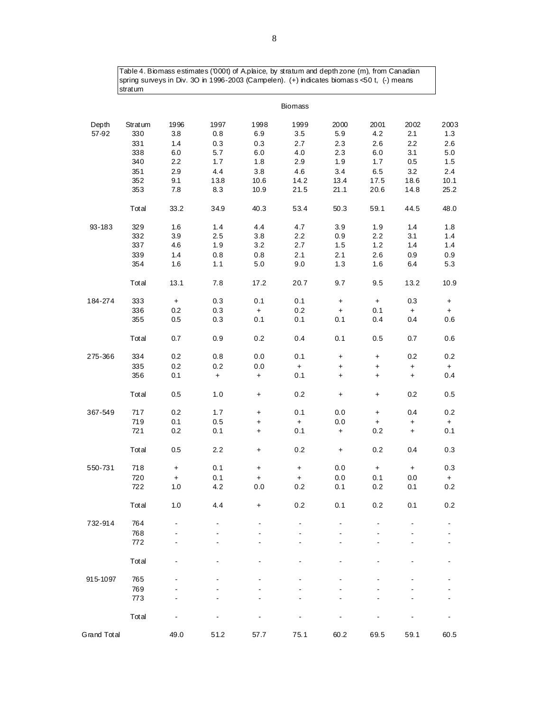Table 4. Biomass estimates ('000t) of A.plaice, by stratum and depth zone (m), from Canadian spring surveys in Div. 3O in 1996-2003 (Campelen). (+) indicates biomass <50 t, (-) means stratum

|             |         |           |      |           | Biomass   |                      |           |           |           |
|-------------|---------|-----------|------|-----------|-----------|----------------------|-----------|-----------|-----------|
| Depth       | Stratum | 1996      | 1997 | 1998      | 1999      | 2000                 | 2001      | 2002      | 2003      |
| 57-92       | 330     | 3.8       | 0.8  | 6.9       | 3.5       | 5.9                  | 4.2       | 2.1       | 1.3       |
|             | 331     | 1.4       | 0.3  | 0.3       | 2.7       | 2.3                  | 2.6       | 2.2       | 2.6       |
|             | 338     | 6.0       | 5.7  | $6.0\,$   | 4.0       | 2.3                  | 6.0       | 3.1       | 5.0       |
|             | 340     | 2.2       | 1.7  | 1.8       | 2.9       | 1.9                  | 1.7       | 0.5       | 1.5       |
|             | 351     | 2.9       | 4.4  | 3.8       | 4.6       | 3.4                  | 6.5       | 3.2       | 2.4       |
|             | 352     | 9.1       | 13.8 | 10.6      | 14.2      | 13.4                 | 17.5      | 18.6      | 10.1      |
|             | 353     | 7.8       | 8.3  | 10.9      | 21.5      | 21.1                 | 20.6      | 14.8      | 25.2      |
|             | Total   | 33.2      | 34.9 | 40.3      | 53.4      | 50.3                 | 59.1      | 44.5      | 48.0      |
| 93-183      | 329     | 1.6       | 1.4  | 4.4       | 4.7       | 3.9                  | 1.9       | 1.4       | 1.8       |
|             | 332     | 3.9       | 2.5  | 3.8       | 2.2       | 0.9                  | 2.2       | 3.1       | 1.4       |
|             | 337     | 4.6       | 1.9  | 3.2       | 2.7       | 1.5                  | 1.2       | 1.4       | 1.4       |
|             | 339     | 1.4       | 0.8  | 0.8       | 2.1       | 2.1                  | 2.6       | 0.9       | 0.9       |
|             | 354     | 1.6       | 1.1  | $5.0\,$   | 9.0       | 1.3                  | 1.6       | 6.4       | 5.3       |
|             | Total   | 13.1      | 7.8  | 17.2      | 20.7      | 9.7                  | 9.5       | 13.2      | 10.9      |
| 184-274     | 333     | $\pm$     | 0.3  | 0.1       | 0.1       | $\boldsymbol{+}$     | $\pm$     | 0.3       | $\ddot{}$ |
|             | 336     | 0.2       | 0.3  | $\ddot{}$ | 0.2       | $\color{red}+$       | 0.1       | $+$       | $+$       |
|             | 355     | 0.5       | 0.3  | 0.1       | 0.1       | 0.1                  | 0.4       | 0.4       | 0.6       |
|             | Total   | 0.7       | 0.9  | 0.2       | 0.4       | 0.1                  | 0.5       | 0.7       | 0.6       |
| 275-366     | 334     | 0.2       | 0.8  | 0.0       | 0.1       | $\ddot{}$            | $\ddot{}$ | 0.2       | 0.2       |
|             | 335     | 0.2       | 0.2  | 0.0       | $\ddag$   | $\ddot{}$            | $\ddot{}$ | $\pm$     | $+$       |
|             | 356     | 0.1       | $+$  | $+$       | 0.1       | $\ddot{}$            | $\ddot{}$ | $+$       | 0.4       |
|             | Total   | 0.5       | 1.0  | $\ddot{}$ | 0.2       | $\ddot{\phantom{1}}$ | $\ddot{}$ | 0.2       | 0.5       |
| 367-549     | 717     | 0.2       | 1.7  | $\ddot{}$ | 0.1       | 0.0                  | $+$       | 0.4       | 0.2       |
|             | 719     | 0.1       | 0.5  | $\ddot{}$ | $\ddot{}$ | 0.0                  | $+$       | $\ddot{}$ | $\pm$     |
|             | 721     | 0.2       | 0.1  | $\ddot{}$ | 0.1       | $\boldsymbol{+}$     | 0.2       | $\ddot{}$ | 0.1       |
|             | Total   | 0.5       | 2.2  | $\ddot{}$ | 0.2       | $\color{red}+$       | 0.2       | 0.4       | 0.3       |
| 550-731     | 718     | $\ddot{}$ | 0.1  | $\ddot{}$ | $\ddot{}$ | 0.0                  | $\pm$     | $\ddot{}$ | 0.3       |
|             | 720     | $+$       | 0.1  | $+$       | $+$       | 0.0                  | 0.1       | 0.0       | $+$       |
|             | 722     | 1.0       | 4.2  | 0.0       | 0.2       | 0.1                  | 0.2       | 0.1       | 0.2       |
|             | Total   | 1.0       | 4.4  | +         | 0.2       | 0.1                  | 0.2       | 0.1       | 0.2       |
| 732-914     | 764     |           |      |           |           |                      |           |           |           |
|             | 768     |           |      |           |           |                      |           |           |           |
|             | 772     |           |      |           |           |                      |           |           |           |
|             | Total   |           |      |           |           |                      |           |           |           |
| 915-1097    | 765     |           |      |           |           |                      |           |           |           |
|             | 769     |           |      |           |           |                      |           |           |           |
|             | 773     |           |      |           |           |                      |           |           |           |
|             | Total   |           |      |           |           |                      |           |           |           |
| Grand Total |         | 49.0      | 51.2 | 57.7      | 75.1      | 60.2                 | 69.5      | 59.1      | 60.5      |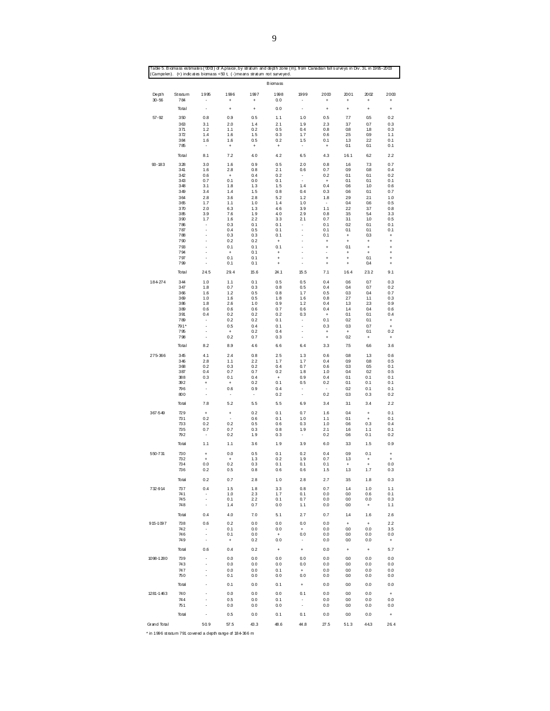|                    |                |                          |                                  |                                  | <b>B</b> iomass                                     |                                         |                        |                                               |                                                                                                                                                                                                                                                                                                                                                                                                               |                                               |
|--------------------|----------------|--------------------------|----------------------------------|----------------------------------|-----------------------------------------------------|-----------------------------------------|------------------------|-----------------------------------------------|---------------------------------------------------------------------------------------------------------------------------------------------------------------------------------------------------------------------------------------------------------------------------------------------------------------------------------------------------------------------------------------------------------------|-----------------------------------------------|
| Depth<br>$30 - 56$ | Stratum<br>784 | 1995<br>$\sim$           | 1996<br>$\ddot{}$                | 1997<br>$+$                      | 1998<br>0.0                                         | 1999<br>$\sim$                          | 2000<br>$^{+}$         | 2001<br>$+$                                   | 2002<br>$+$                                                                                                                                                                                                                                                                                                                                                                                                   | 2003<br>$+$                                   |
|                    | Total          |                          | $\begin{array}{c} + \end{array}$ | $\begin{array}{c} + \end{array}$ | 0.0                                                 |                                         | $\ddot{}$              | $\ddot{}$                                     | $\ddot{}$                                                                                                                                                                                                                                                                                                                                                                                                     | $\ddot{}$                                     |
| $57 - 92$          | 350            | 0.8                      | 0.9                              | 0.5                              | 1.1                                                 | 1.0                                     | 0.5                    | 7.7                                           | 0.5                                                                                                                                                                                                                                                                                                                                                                                                           | 0.2                                           |
|                    | 363            | 3.1                      | 2.0                              | 1.4                              | 2.1                                                 | 1.9                                     | 2.3                    | 37                                            | 0.7                                                                                                                                                                                                                                                                                                                                                                                                           | 0.3                                           |
|                    | 371            | 1.2                      | 1.1                              | 0.2                              | 0.5                                                 | 0.4                                     | 0.8                    | 0.8                                           |                                                                                                                                                                                                                                                                                                                                                                                                               | 0.3                                           |
|                    | 372<br>384     | 1.4<br>1.6               | 1.6<br>1.6                       | 1.5<br>0.5                       | 0.3<br>0.2                                          | 1.7<br>1.5                              | 0.6<br>0.1             | 25<br>1.3                                     |                                                                                                                                                                                                                                                                                                                                                                                                               | 1.1<br>0.1                                    |
|                    | 785            | $\sim$                   | $\begin{array}{c} + \end{array}$ | $+$                              | $+$                                                 | $\sim$                                  | $+$                    | 0.1                                           | 0.1                                                                                                                                                                                                                                                                                                                                                                                                           | 0.1                                           |
|                    | Total          | 8.1                      | 7.2                              | 4.0                              | 4.2                                                 | 6.5                                     | 4.3                    | 16.1                                          | 62                                                                                                                                                                                                                                                                                                                                                                                                            | 2.2                                           |
| $93 - 183$         | 328            | 3.0                      | 1.6                              | 0.9                              | 0.5                                                 | 20                                      | 0.8                    | 1.6                                           | 7.3                                                                                                                                                                                                                                                                                                                                                                                                           | 0.7                                           |
|                    | 341            | 1.6                      | 2.8                              | 0.8                              | 21                                                  | 0.6                                     | 0.7                    | 0.9                                           | 0.8                                                                                                                                                                                                                                                                                                                                                                                                           | 0.4                                           |
|                    | 342<br>343     | 0.6<br>0.7               | $+$<br>0.1                       | 0.4<br>0.0                       | 0.2                                                 | $\sim$<br>$\mathbb{Z}^2$                | 0.2                    | 0.1                                           |                                                                                                                                                                                                                                                                                                                                                                                                               | 0.2                                           |
|                    | 348            | 3.1                      | 1.8                              | 1, 3                             | 0.1<br>1.5                                          | 1.4                                     | $+$<br>0.4             | 0.1<br>0.6                                    |                                                                                                                                                                                                                                                                                                                                                                                                               | 0.1<br>0.6                                    |
|                    | 349            | 3.4                      | 1.4                              | 1.5                              | 0.8                                                 | 0.4                                     | 0.3                    | 0.6                                           | 0.1                                                                                                                                                                                                                                                                                                                                                                                                           | 0.7                                           |
|                    | 364            | 2.8                      | 3.6                              | 28                               | 5.2                                                 | 1.2                                     | 1.8                    | 29                                            | 21                                                                                                                                                                                                                                                                                                                                                                                                            | 1.0                                           |
|                    | 365            | 1.7                      | 1.1                              | 1.0                              | 1.4                                                 | 1.0                                     | $\sim$<br>1.1          | 0.4                                           |                                                                                                                                                                                                                                                                                                                                                                                                               | 0.5                                           |
|                    | 370<br>385     | 2.0<br>3.9               | 6.3<br>7.6                       | 1.3<br>1.9                       | 4.6<br>4.0                                          | 3.9<br>29                               | 0.8                    | 22<br>3.5                                     |                                                                                                                                                                                                                                                                                                                                                                                                               | 0.8<br>3.3                                    |
|                    | 390            | 1.7                      | 1.6                              | 22                               | 3.3                                                 | 2.1                                     | 0.7                    | 31                                            | 1.0                                                                                                                                                                                                                                                                                                                                                                                                           | 0.5                                           |
|                    | 786            | $\sim$                   | 0.3                              | 0.1                              | 0.1                                                 | $\sim$                                  | 0.1                    | 0.2                                           | 0.1                                                                                                                                                                                                                                                                                                                                                                                                           | 0.1                                           |
|                    | 787<br>788     |                          | 0.4<br>0.3                       | 0.5<br>0.3                       | 0.1<br>0.1                                          | ÷.                                      | 0.1<br>0.1             | 0.1<br>$\ddot{}$                              |                                                                                                                                                                                                                                                                                                                                                                                                               | 0.1<br>$\ddot{}$                              |
|                    | 790            |                          | 0.2                              | 0.2                              | $+$                                                 |                                         | $\,$ +                 | $\ddot{}$                                     |                                                                                                                                                                                                                                                                                                                                                                                                               | $\ddot{}$                                     |
|                    | 793            |                          | 0.1                              | 0.1                              | 0.1                                                 |                                         | $\ddot{}$              | 0.1                                           | $\begin{array}{c} + \end{array}$                                                                                                                                                                                                                                                                                                                                                                              | $\ddot{}$                                     |
|                    | 794            |                          | $+$                              | 0.1                              | $\begin{array}{c} + \end{array}$                    | $\epsilon$                              | ÷,                     | $\begin{array}{c} + \end{array}$              | $\ddot{}$                                                                                                                                                                                                                                                                                                                                                                                                     | $\ddot{}$                                     |
|                    | 797<br>799     | ÷,                       | 0.1<br>0.1                       | 0.1<br>0.1                       | $\begin{array}{c} + \end{array}$<br>$^{\mathrm{+}}$ | $\epsilon$<br>$\epsilon$                | $\ddot{}$<br>$\ddot{}$ | $\ddot{}$<br>$\begin{array}{c} + \end{array}$ |                                                                                                                                                                                                                                                                                                                                                                                                               | $\ddot{}$                                     |
|                    | Total          | 24.5                     | 29.4                             | 15.6                             | 24.1                                                | 15.5                                    | 7.1                    | 16.4                                          |                                                                                                                                                                                                                                                                                                                                                                                                               | $\ddot{}$<br>9.1                              |
|                    |                |                          |                                  |                                  |                                                     |                                         |                        |                                               |                                                                                                                                                                                                                                                                                                                                                                                                               |                                               |
| 184274             | 344<br>347     | 1.0<br>1.8               | 1.1<br>0.7                       | 0.1<br>0.3                       | 0.5<br>0.8                                          | 0.5<br>0.5                              | 0.4<br>0.4             | 0.6<br>0.4                                    | 0.7                                                                                                                                                                                                                                                                                                                                                                                                           | 0.3<br>0.2                                    |
|                    | 366            | 1.6                      | $1.2$                            | 0.5                              | 0.8                                                 | 1.7                                     | 0.5                    | 0.3                                           | 0.4                                                                                                                                                                                                                                                                                                                                                                                                           | 0.7                                           |
|                    | 369            | 1.0                      | 1.6                              | 0.5                              | 1.8                                                 | 1.6                                     | 0.8                    | 27                                            | 1.1                                                                                                                                                                                                                                                                                                                                                                                                           | 0.3                                           |
|                    | 386<br>389     | 1.8<br>0.6               | 2.6<br>0.6                       | 1.0<br>0.6                       | 0.9<br>0.7                                          | 1.2<br>0.6                              | 0.4<br>0.4             | 1.3<br>1.4                                    |                                                                                                                                                                                                                                                                                                                                                                                                               | 0.9<br>0.6                                    |
|                    | 391            | 0.4                      | 0.2                              | 0.2                              | 0.2                                                 | 0.3                                     | $+$                    | 0.1                                           | 0.1                                                                                                                                                                                                                                                                                                                                                                                                           | 0.4                                           |
|                    | 789            | $\overline{\phantom{a}}$ | 0.2                              | 0.2                              | 0.1                                                 | $\bullet$                               | 0.1                    | 0.2                                           | 0.1                                                                                                                                                                                                                                                                                                                                                                                                           | $\pm$                                         |
|                    | 791*<br>795    | $\mathbf{r}$<br>÷.       | 0.5<br>$+$                       | 0.4<br>0.2                       | 0.1<br>0.4                                          | $\mathcal{L}_{\mathcal{A}}$<br>÷        | 0.3                    | 0.3<br>$+$                                    |                                                                                                                                                                                                                                                                                                                                                                                                               | $\pm$<br>0.2                                  |
|                    | 798            | $\sim$                   | 0.2                              | 0.7                              | 0.3                                                 | ÷.                                      | $+$<br>$\ddot{}$       | 0.2                                           | $+$                                                                                                                                                                                                                                                                                                                                                                                                           | $\pm$                                         |
|                    | Total          | 8.2                      | 8.9                              | 4.6                              | 6.6                                                 | 6.4                                     | 3.3                    | 7.5                                           | 66                                                                                                                                                                                                                                                                                                                                                                                                            | 3.6                                           |
| 275366             | 345            | 4.1                      | 2.4                              | 0.8                              | 25                                                  | 1.3                                     | 0.6                    | 0.8                                           | 1.3                                                                                                                                                                                                                                                                                                                                                                                                           | 0.6                                           |
|                    | 346            | 2.8                      | 1.1                              | 22                               | 1, 7                                                | 1.7                                     | 0.4                    | 0.9                                           | 0.8                                                                                                                                                                                                                                                                                                                                                                                                           | 0.5                                           |
|                    | 368<br>387     | 0.2<br>0.4               | 0.3<br>0.7                       | 0.2<br>0.7                       | 0.4<br>0.2                                          | 0.7<br>1.8                              | 0.6<br>1.0             | 0.3<br>0.4                                    |                                                                                                                                                                                                                                                                                                                                                                                                               | 0.1<br>0.5                                    |
|                    | 388            | $0.3\,$                  | 0.1                              | 0.4                              | $+$                                                 | 0.9                                     | 0.4                    | 0.1                                           | 0.1                                                                                                                                                                                                                                                                                                                                                                                                           | 0.1                                           |
|                    | 392            | $+$                      | $+$                              | 0.2                              | 0.1                                                 | 0.5                                     | 0.2                    | 0.1                                           | 0.1                                                                                                                                                                                                                                                                                                                                                                                                           | 0.1                                           |
|                    | 796<br>800     |                          | 0.6<br>$\overline{\phantom{a}}$  | 0.9<br>$\sim$                    | 0.4<br>0.2                                          | $\blacksquare$<br>$\blacksquare$        | $\sim$<br>0.2          | 0.2<br>0.3                                    | 0.1                                                                                                                                                                                                                                                                                                                                                                                                           | 0.1<br>0.2                                    |
|                    | Total          | 7.8                      | 5.2                              | 5.5                              | 5.5                                                 | 6.9                                     | 3.4                    | 3.1                                           | 3.4                                                                                                                                                                                                                                                                                                                                                                                                           | 2.2                                           |
| 367-549            | 729            | $\ddot{}$                | $\ddot{}$                        | 0.2                              | 0.1                                                 | 0.7                                     | 1.6                    | 0.4                                           |                                                                                                                                                                                                                                                                                                                                                                                                               | 0.1                                           |
|                    | 731            | 0.2                      | $\sim$                           | 0.6                              | 0.1                                                 | 1.0                                     | 1.1                    | 0.1                                           | $+$                                                                                                                                                                                                                                                                                                                                                                                                           | 0.1                                           |
|                    | 733            | 0.2                      | 0.2                              | 0.5                              | 0.6                                                 | 0.3                                     | 1.0                    | 0.6                                           | 0.3                                                                                                                                                                                                                                                                                                                                                                                                           | 0.4                                           |
|                    | 735<br>792     | 0.7                      | 0.7<br>0.2                       | 0.3<br>1.9                       | 0.8<br>0.3                                          | 1.9<br>$\sim$                           | 2.1<br>0.2             | 1.6<br>0.6                                    | 0.1                                                                                                                                                                                                                                                                                                                                                                                                           | 0.1<br>0.2                                    |
|                    | Total          | 1.1                      | 1.1                              | 3.6                              | 1.9                                                 | 3.9                                     | 6.0                    | 3.3                                           |                                                                                                                                                                                                                                                                                                                                                                                                               | 0.9                                           |
| 550-731            | 730            | $\ddot{}$                | 0.0                              | 0.5                              | 0.1                                                 | 0.2                                     | 0.4                    | 0.9                                           |                                                                                                                                                                                                                                                                                                                                                                                                               |                                               |
|                    | 732            | $+$                      | $+$                              | 1.3                              | 0.2                                                 | 1.9                                     | 0.7                    | 1.3                                           | $\begin{array}{c} + \end{array}$                                                                                                                                                                                                                                                                                                                                                                              | $\begin{array}{c} + \end{array}$<br>$\ddot{}$ |
|                    | 734            | 0.0                      | 0.2                              | 0.3                              | 0.1                                                 | 0.1                                     | 0.1                    | $+$                                           | 1.8<br>0.9<br>22<br>0.1<br>0.1<br>1.0<br>0.6<br>37<br>54<br>0.1<br>0.3<br>$\ddot{}$<br>0.1<br>0.4<br>23.2<br>0.7<br>23<br>0.4<br>0.7<br>0.1<br>0.5<br>0.2<br>0.3<br>$\begin{array}{c} + \end{array}$<br>1.1<br>1.5<br>0.1<br>$+$<br>1.7<br>1.8<br>1.0<br>0.6<br>0.0<br>$\pmb{+}$<br>1.6<br>$\ddot{}$<br>0.0<br>0.0<br>0.0<br>$\ddot{}$<br>0.0<br>0.0<br>0.0<br>0.0<br>0.0<br>0.0<br>0.0<br>0.0<br>0.0<br>44.3 | 0.0                                           |
|                    | 736            | 0.2                      | 0.5                              | 0.8                              | 0.6                                                 | 0.6                                     | 1.5                    | 1.3                                           |                                                                                                                                                                                                                                                                                                                                                                                                               | 0.3                                           |
|                    | Total          | 0.2                      | 0.7                              | 28                               | 1.0                                                 | 28                                      | 2.7                    | 3.5                                           |                                                                                                                                                                                                                                                                                                                                                                                                               | 0.3                                           |
| 732-914            | 737            | 0.4                      | 1.5                              | 1.8                              | 3.3                                                 | 0.8                                     | 0.7                    | 1.4                                           |                                                                                                                                                                                                                                                                                                                                                                                                               | 1.1                                           |
|                    | 741<br>745     |                          | 1.0<br>0.1                       | 23<br>2.2                        | 1.7<br>0.1                                          | 0.1<br>0.7                              | 0.0<br>0.0             | 0.0<br>0.0                                    |                                                                                                                                                                                                                                                                                                                                                                                                               | 0.1<br>0.3                                    |
|                    | 748            | $\blacksquare$           | 1.4                              | 0.7                              | 0.0                                                 | 1.1                                     | 0.0                    | 0.0                                           |                                                                                                                                                                                                                                                                                                                                                                                                               | 1.1                                           |
|                    | Total          | 0.4                      | $4.0$                            | 7.0                              | 5.1                                                 | 27                                      | 0.7                    | 1.4                                           |                                                                                                                                                                                                                                                                                                                                                                                                               | 2.6                                           |
| 915-1097           | 738            | 0.6                      | 0.2                              | 0.0                              | 0.0                                                 | 0.0                                     | 0.0                    | $\ddot{}$                                     |                                                                                                                                                                                                                                                                                                                                                                                                               | 2.2                                           |
|                    | 742<br>746     | $\overline{a}$           | 0.1                              | 0.0<br>0.0                       | 0.0                                                 | $\ddot{}$<br>0.0                        | 0.0                    | 0.0<br>0.0                                    |                                                                                                                                                                                                                                                                                                                                                                                                               | 3.5<br>0.0                                    |
|                    | 749            | $\blacksquare$           | 0.1<br>$\ddot{}$                 | 0.2                              | $+$<br>0.0                                          | $\overline{\phantom{a}}$                | 0.0<br>0.0             | 0.0                                           |                                                                                                                                                                                                                                                                                                                                                                                                               | $\ddot{}$                                     |
|                    | Total          | 0.6                      | 0.4                              | 0.2                              | $\ddot{}$                                           | $\ast$                                  | 0.0                    | $\ddot{}$                                     |                                                                                                                                                                                                                                                                                                                                                                                                               | 5.7                                           |
| 1098-1280          | 739            |                          | 0.0                              | 0.0                              | 0.0                                                 | 0.0                                     | 0.0                    | 0.0                                           |                                                                                                                                                                                                                                                                                                                                                                                                               | 0.0                                           |
|                    | 743            |                          | 0.0                              | 0.0                              | 0.0                                                 | 0.0                                     | 0.0                    | 0.0                                           |                                                                                                                                                                                                                                                                                                                                                                                                               | 0.0                                           |
|                    | 747<br>750     |                          | 0.0<br>0.1                       | 0.0<br>0.0                       | 0.1<br>0.0                                          | $\begin{array}{c} + \end{array}$<br>0.0 | 0.0<br>0.0             | $0.0\,$<br>$0.0\,$                            |                                                                                                                                                                                                                                                                                                                                                                                                               | 0.0<br>0.0                                    |
|                    | Total          |                          | 0.1                              | 0.0                              | 0.1                                                 | $\ddot{}$                               | 0.0                    | 0.0                                           |                                                                                                                                                                                                                                                                                                                                                                                                               | 0.0                                           |
| 1281-1463          | 740            |                          | 0.0                              | 0.0                              | 0.0                                                 | 0.1                                     | 0.0                    | 0.0                                           |                                                                                                                                                                                                                                                                                                                                                                                                               | $\ddot{}$                                     |
|                    | 744            |                          | 0.5                              | 0.0                              | 0.1                                                 |                                         | 0.0                    | 0.0                                           |                                                                                                                                                                                                                                                                                                                                                                                                               | 0.0                                           |
|                    | 751            |                          | 0.0                              | 0.0                              | 0.0                                                 | $\blacksquare$                          | 0.0                    | 0.0                                           |                                                                                                                                                                                                                                                                                                                                                                                                               | 0.0                                           |
|                    | Total          |                          | 0.5                              | 0.0                              | 0.1                                                 | 0.1                                     | 0.0                    | 0.0                                           |                                                                                                                                                                                                                                                                                                                                                                                                               | $\ddot{}$                                     |
|                    |                |                          |                                  |                                  |                                                     |                                         |                        |                                               |                                                                                                                                                                                                                                                                                                                                                                                                               |                                               |

Table 5. B iomass estimates ('000t) of A.plaice, by stratum and depth zone (m), from Canadian fall surveys in Div. 3L in 1995-2003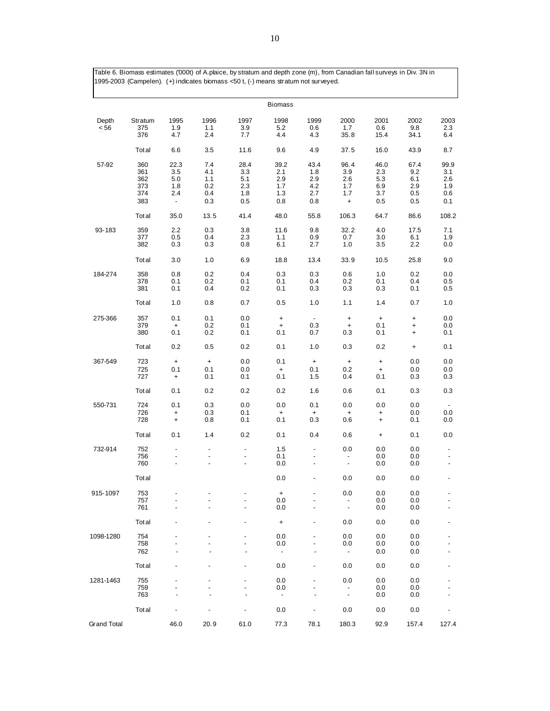Table 6. Biomass estimates ('000t) of A.plaice, by stratum and depth zone (m), from Canadian fall surveys in Div. 3N in 1995-2003 (Campelen). (+) indicates biomass <50 t, (-) means stratum not surveyed.

|                    |                                        |                                                                             |                                        |                                             | <b>Biomass</b>                                       |                                         |                                               |                                             |                                         |                                            |
|--------------------|----------------------------------------|-----------------------------------------------------------------------------|----------------------------------------|---------------------------------------------|------------------------------------------------------|-----------------------------------------|-----------------------------------------------|---------------------------------------------|-----------------------------------------|--------------------------------------------|
| Depth<br>< 56      | Stratum<br>375<br>376                  | 1995<br>1.9<br>4.7                                                          | 1996<br>1.1<br>2.4                     | 1997<br>3.9<br>7.7                          | 1998<br>5.2<br>4.4                                   | 1999<br>0.6<br>4.3                      | 2000<br>1.7<br>35.8                           | 2001<br>0.6<br>15.4                         | 2002<br>9.8<br>34.1                     | 2003<br>2.3<br>6.4                         |
|                    | Tot al                                 | 6.6                                                                         | 3.5                                    | 11.6                                        | 9.6                                                  | 4.9                                     | 37.5                                          | 16.0                                        | 43.9                                    | 8.7                                        |
| 57-92              | 360<br>361<br>362<br>373<br>374<br>383 | 22.3<br>3.5<br>5.0<br>1.8<br>2.4<br>$\overline{\phantom{a}}$                | 7.4<br>4.1<br>1.1<br>0.2<br>0.4<br>0.3 | 28.4<br>3.3<br>5.1<br>$2.3\,$<br>1.8<br>0.5 | 39.2<br>2.1<br>2.9<br>1.7<br>1.3<br>0.8              | 43.4<br>1.8<br>2.9<br>4.2<br>2.7<br>0.8 | 96.4<br>3.9<br>2.6<br>1.7<br>1.7<br>$\ddot{}$ | 46.0<br>2.3<br>5.3<br>6.9<br>3.7<br>$0.5\,$ | 67.4<br>9.2<br>6.1<br>2.9<br>0.5<br>0.5 | 99.9<br>3.1<br>2.6<br>1.9<br>0.6<br>0.1    |
|                    | Tot al                                 | 35.0                                                                        | 13.5                                   | 41.4                                        | 48.0                                                 | 55.8                                    | 106.3                                         | 64.7                                        | 86.6                                    | 108.2                                      |
| 93-183             | 359<br>377<br>382                      | 2.2<br>0.5<br>0.3                                                           | 0.3<br>0.4<br>0.3                      | 3.8<br>2.3<br>0.8                           | 11.6<br>1.1<br>6.1                                   | 9.8<br>0.9<br>2.7                       | 32.2<br>0.7<br>1.0                            | 4.0<br>3.0<br>3.5                           | 17.5<br>6.1<br>2.2                      | 7.1<br>1.9<br>$0.0\,$                      |
|                    | Tot al                                 | 3.0                                                                         | 1.0                                    | 6.9                                         | 18.8                                                 | 13.4                                    | 33.9                                          | 10.5                                        | 25.8                                    | 9.0                                        |
| 184-274            | 358<br>378<br>381                      | 0.8<br>0.1<br>0.1                                                           | 0.2<br>0.2<br>0.4                      | 0.4<br>0.1<br>0.2                           | 0.3<br>0.1<br>0.1                                    | 0.3<br>0.4<br>0.3                       | 0.6<br>0.2<br>0.3                             | 1.0<br>0.1<br>0.3                           | 0.2<br>0.4<br>0.1                       | 0.0<br>0.5<br>0.5                          |
|                    | Tot al                                 | 1.0                                                                         | 0.8                                    | 0.7                                         | 0.5                                                  | 1.0                                     | 1.1                                           | 1.4                                         | 0.7                                     | 1.0                                        |
| 275-366            | 357<br>379<br>380                      | 0.1<br>$\ddot{}$<br>0.1                                                     | 0.1<br>0.2<br>0.2                      | 0.0<br>0.1<br>0.1                           | $\ddot{}$<br>$\begin{array}{c} + \end{array}$<br>0.1 | $\overline{\phantom{a}}$<br>0.3<br>0.7  | $\ddot{}$<br>$\ddot{}$<br>0.3                 | $\pmb{+}$<br>0.1<br>0.1                     | $\ddot{}$<br>+<br>+                     | 0.0<br>$0.0\,$<br>0.1                      |
|                    | Tot al                                 | 0.2                                                                         | 0.5                                    | 0.2                                         | 0.1                                                  | 1.0                                     | 0.3                                           | 0.2                                         | $\pmb{+}$                               | 0.1                                        |
| 367-549            | 723<br>725<br>727                      | $\begin{array}{c} + \end{array}$<br>0.1<br>$\begin{array}{c} + \end{array}$ | $\pmb{+}$<br>0.1<br>0.1                | 0.0<br>0.0<br>0.1                           | 0.1<br>$\ddot{}$<br>0.1                              | $\ddot{}$<br>0.1<br>1.5                 | $\pmb{+}$<br>0.2<br>0.4                       | $\pmb{+}$<br>$\ddot{}$<br>0.1               | 0.0<br>0.0<br>0.3                       | 0.0<br>0.0<br>0.3                          |
|                    | Tot al                                 | 0.1                                                                         | 0.2                                    | 0.2                                         | 0.2                                                  | 1.6                                     | 0.6                                           | 0.1                                         | 0.3                                     | 0.3                                        |
| 550-731            | 724<br>726<br>728                      | 0.1<br>$\ddot{}$<br>$\begin{array}{c} + \end{array}$                        | 0.3<br>0.3<br>0.8                      | 0.0<br>0.1<br>0.1                           | 0.0<br>$\ddot{}$<br>0.1                              | 0.1<br>$\ddot{}$<br>0.3                 | 0.0<br>+<br>0.6                               | 0.0<br>$\ddot{}$<br>$\ddot{}$               | 0.0<br>0.0<br>0.1                       | 0.0<br>0.0                                 |
|                    | Tot al                                 | 0.1                                                                         | 1.4                                    | 0.2                                         | 0.1                                                  | 0.4                                     | 0.6                                           | $\ddot{}$                                   | 0.1                                     | 0.0                                        |
| 732-914            | 752<br>756<br>760                      | $\overline{\phantom{a}}$                                                    | $\overline{a}$                         | $\qquad \qquad \blacksquare$                | $1.5\,$<br>0.1<br>0.0                                | $\overline{\phantom{a}}$                | 0.0<br>-<br>$\blacksquare$                    | 0.0<br>0.0<br>0.0                           | 0.0<br>0.0<br>0.0                       | $\overline{\phantom{a}}$<br>$\blacksquare$ |
|                    | Tot al                                 |                                                                             |                                        |                                             | 0.0                                                  | $\overline{a}$                          | 0.0                                           | 0.0                                         | 0.0                                     | $\blacksquare$                             |
| 915-1097           | 753<br>757<br>761                      |                                                                             |                                        |                                             | $\ddot{}$<br>0.0<br>0.0                              |                                         | 0.0<br>$\overline{\phantom{a}}$               | 0.0<br>0.0<br>0.0                           | 0.0<br>0.0<br>0.0                       |                                            |
|                    | Tot al                                 |                                                                             |                                        |                                             | $\ddot{}$                                            |                                         | 0.0                                           | 0.0                                         | 0.0                                     |                                            |
| 1098-1280          | 754<br>758<br>762                      |                                                                             |                                        |                                             | 0.0<br>0.0<br>$\overline{\phantom{a}}$               |                                         | 0.0<br>0.0<br>$\overline{\phantom{a}}$        | 0.0<br>0.0<br>0.0                           | 0.0<br>0.0<br>0.0                       |                                            |
|                    | Tot al                                 |                                                                             |                                        |                                             | 0.0                                                  |                                         | 0.0                                           | 0.0                                         | 0.0                                     |                                            |
| 1281-1463          | 755<br>759<br>763                      |                                                                             |                                        |                                             | 0.0<br>0.0<br>$\overline{\phantom{a}}$               |                                         | 0.0<br>$\overline{\phantom{a}}$               | 0.0<br>0.0<br>0.0                           | 0.0<br>0.0<br>0.0                       |                                            |
|                    | Tot al                                 |                                                                             |                                        |                                             | 0.0                                                  |                                         | 0.0                                           | 0.0                                         | 0.0                                     |                                            |
| <b>Grand Total</b> |                                        | 46.0                                                                        | 20.9                                   | 61.0                                        | 77.3                                                 | 78.1                                    | 180.3                                         | 92.9                                        | 157.4                                   | 127.4                                      |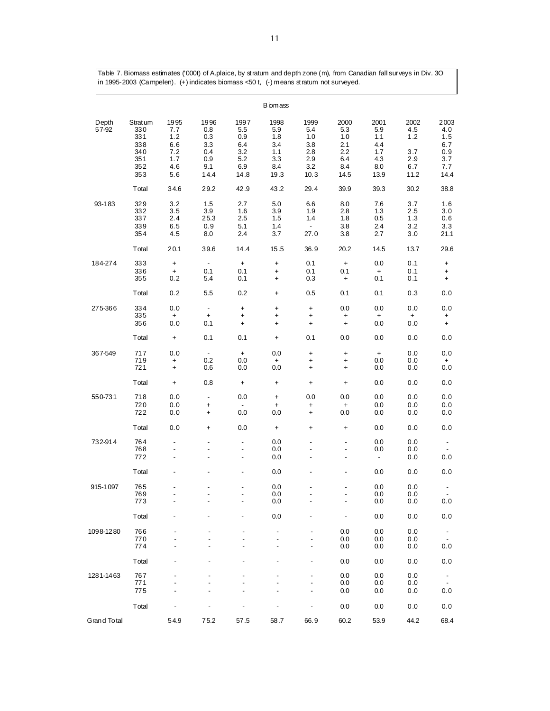Table 7. Biomass estimates ('000t) of A.plaice, by stratum and depth zone (m), from Canadian fall surveys in Div. 3O in 1995-2003 (Campelen). (+) indicates biomass <50 t, (-) means stratum not surveyed.

|                |                                                           |                                                                            |                                                        |                                                        | <b>B</b> iom ass                                       |                                                        |                                                        |                                                        |                                                 |                                                             |
|----------------|-----------------------------------------------------------|----------------------------------------------------------------------------|--------------------------------------------------------|--------------------------------------------------------|--------------------------------------------------------|--------------------------------------------------------|--------------------------------------------------------|--------------------------------------------------------|-------------------------------------------------|-------------------------------------------------------------|
| Depth<br>57-92 | Strat um<br>330<br>331<br>338<br>340<br>351<br>352<br>353 | 1995<br>7.7<br>1.2<br>6.6<br>7.2<br>1.7<br>4.6<br>5.6                      | 1996<br>0.8<br>0.3<br>3.3<br>0.4<br>0.9<br>9.1<br>14.4 | 1997<br>5.5<br>0.9<br>6.4<br>3.2<br>5.2<br>6.9<br>14.8 | 1998<br>5.9<br>1.8<br>3.4<br>1.1<br>3.3<br>8.4<br>19.3 | 1999<br>5.4<br>1.0<br>3.8<br>2.8<br>2.9<br>3.2<br>10.3 | 2000<br>5.3<br>1.0<br>2.1<br>2.2<br>6.4<br>8.4<br>14.5 | 2001<br>5.9<br>1.1<br>4.4<br>1.7<br>4.3<br>8.0<br>13.9 | 2002<br>4.5<br>1.2<br>3.7<br>2.9<br>6.7<br>11.2 | 2003<br>4.0<br>1.5<br>6.7<br>0.9<br>3.7<br>7.7<br>14.4      |
|                | Total                                                     | 34.6                                                                       | 29.2                                                   | 42.9                                                   | 43.2                                                   | 29.4                                                   | 39.9                                                   | 39.3                                                   | 30.2                                            | 38.8                                                        |
| 93-183         | 329<br>332<br>337<br>339<br>354                           | 3.2<br>3.5<br>2.4<br>6.5<br>4.5                                            | 1.5<br>3.9<br>25.3<br>0.9<br>8.0                       | 2.7<br>1.6<br>2.5<br>5.1<br>2.4                        | 5.0<br>3.9<br>1.5<br>1.4<br>3.7                        | 6.6<br>1.9<br>1.4<br>$\overline{\phantom{a}}$<br>27.0  | 8.0<br>2.8<br>1.8<br>3.8<br>3.8                        | 7.6<br>1.3<br>0.5<br>2.4<br>2.7                        | 3.7<br>2.5<br>1.3<br>3.2<br>3.0                 | 1.6<br>3.0<br>0.6<br>3.3<br>21.1                            |
|                | Total                                                     | 20.1                                                                       | 39.6                                                   | 14.4                                                   | 15.5                                                   | 36.9                                                   | 20.2                                                   | 14.5                                                   | 13.7                                            | 29.6                                                        |
| 184-274        | 333<br>336<br>355                                         | $\ddot{}$<br>$\ddot{}$<br>0.2                                              | $\overline{\phantom{a}}$<br>0.1<br>5.4                 | $\pmb{+}$<br>0.1<br>0.1                                | $\ddot{}$<br>+<br>$\ddot{}$                            | 0.1<br>0.1<br>0.3                                      | $\begin{array}{c} + \end{array}$<br>0.1<br>$\ddot{}$   | 0.0<br>$\ddot{}$<br>0.1                                | 0.1<br>0.1<br>0.1                               | +<br>$\ddot{}$<br>$\ddot{}$                                 |
|                | Total                                                     | 0.2                                                                        | 5.5                                                    | 0.2                                                    | $\pmb{+}$                                              | 0.5                                                    | 0.1                                                    | 0.1                                                    | 0.3                                             | 0.0                                                         |
| 275-366        | 334<br>335<br>356                                         | 0.0<br>$\ddot{}$<br>0.0                                                    | $\overline{\phantom{a}}$<br>$\pmb{+}$<br>0.1           | $\ddot{}$<br>$\ddot{}$<br>$\ddot{}$                    | $\pmb{+}$<br>$\pmb{+}$<br>$\ddot{}$                    | $\ddot{}$<br>$\pmb{+}$<br>$\ddot{}$                    | 0.0<br>+<br>$\ddot{}$                                  | 0.0<br>$\ddot{}$<br>0.0                                | 0.0<br>+<br>0.0                                 | 0.0<br>+<br>$\ddot{}$                                       |
|                | Total                                                     | $\ddot{}$                                                                  | 0.1                                                    | 0.1                                                    | $\pmb{+}$                                              | 0.1                                                    | 0.0                                                    | 0.0                                                    | 0.0                                             | 0.0                                                         |
| 367-549        | 717<br>719<br>721                                         | 0.0<br>$\ddot{}$<br>$\ddot{}$                                              | $\overline{\phantom{a}}$<br>0.2<br>0.6                 | $\ddot{}$<br>0.0<br>0.0                                | 0.0<br>+<br>0.0                                        | $\pmb{+}$<br>$\ddot{}$<br>$\ddot{}$                    | $\pmb{+}$<br>$\pmb{+}$<br>$\ddot{}$                    | $\ddot{}$<br>0.0<br>0.0                                | 0.0<br>0.0<br>0.0                               | 0.0<br>+<br>0.0                                             |
|                | Total                                                     | $\ddot{}$                                                                  | 0.8                                                    | $\begin{array}{c} + \end{array}$                       | +                                                      | $\ddot{}$                                              | $\pmb{+}$                                              | 0.0                                                    | 0.0                                             | 0.0                                                         |
| 550-731        | 718<br>720<br>722                                         | 0.0<br>0.0<br>0.0                                                          | $\overline{\phantom{a}}$<br>+<br>$\ddot{}$             | 0.0<br>$\blacksquare$<br>0.0                           | +<br>$\ddot{}$<br>0.0                                  | 0.0<br>$\ddot{}$<br>$\ddot{}$                          | 0.0<br>$\pmb{+}$<br>0.0                                | 0.0<br>0.0<br>0.0                                      | 0.0<br>0.0<br>0.0                               | 0.0<br>0.0<br>0.0                                           |
|                | Total                                                     | 0.0                                                                        | +                                                      | 0.0                                                    | +                                                      | +                                                      | $\pmb{+}$                                              | 0.0                                                    | 0.0                                             | 0.0                                                         |
| 732-914        | 764<br>768<br>772                                         | $\qquad \qquad \blacksquare$<br>$\overline{\phantom{a}}$<br>$\overline{a}$ | $\blacksquare$<br>$\overline{\phantom{a}}$             | $\blacksquare$<br>$\overline{\phantom{a}}$<br>Ĭ.       | 0.0<br>0.0<br>0.0                                      | $\overline{\phantom{a}}$<br>$\blacksquare$             | $\blacksquare$<br>$\blacksquare$                       | 0.0<br>0.0<br>$\overline{\phantom{a}}$                 | 0.0<br>0.0<br>0.0                               | $\overline{\phantom{a}}$<br>0.0                             |
|                | Total                                                     | -                                                                          |                                                        | $\overline{a}$                                         | 0.0                                                    | ٠                                                      |                                                        | 0.0                                                    | 0.0                                             | 0.0                                                         |
| 915-1097       | 765<br>769<br>773                                         | ٠<br>÷,                                                                    | $\overline{a}$                                         | -<br>$\overline{\phantom{a}}$                          | 0.0<br>0.0<br>0.0                                      | ٠<br>$\overline{a}$                                    | $\overline{a}$                                         | 0.0<br>0.0<br>0.0                                      | 0.0<br>0.0<br>0.0                               | $\blacksquare$<br>0.0                                       |
|                | Total                                                     |                                                                            |                                                        |                                                        | 0.0                                                    |                                                        | $\overline{\phantom{0}}$                               | 0.0                                                    | 0.0                                             | 0.0                                                         |
| 1098-1280      | 766<br>770<br>774                                         |                                                                            |                                                        |                                                        |                                                        |                                                        | 0.0<br>0.0<br>0.0                                      | 0.0<br>0.0<br>0.0                                      | 0.0<br>0.0<br>0.0                               | $\overline{\phantom{a}}$<br>$\overline{\phantom{a}}$<br>0.0 |
|                | Total                                                     |                                                                            |                                                        |                                                        |                                                        |                                                        | 0.0                                                    | 0.0                                                    | 0.0                                             | 0.0                                                         |
| 1281-1463      | 767<br>771<br>775                                         |                                                                            |                                                        |                                                        |                                                        |                                                        | 0.0<br>0.0<br>0.0                                      | 0.0<br>0.0<br>0.0                                      | 0.0<br>0.0<br>0.0                               | $\overline{\phantom{a}}$<br>$\blacksquare$<br>0.0           |
|                | Total                                                     |                                                                            |                                                        |                                                        |                                                        |                                                        | 0.0                                                    | 0.0                                                    | $0.0$                                           | 0.0                                                         |
| Grand Total    |                                                           | 54.9                                                                       | 75.2                                                   | 57.5                                                   | 58.7                                                   | 66.9                                                   | 60.2                                                   | 53.9                                                   | 44.2                                            | 68.4                                                        |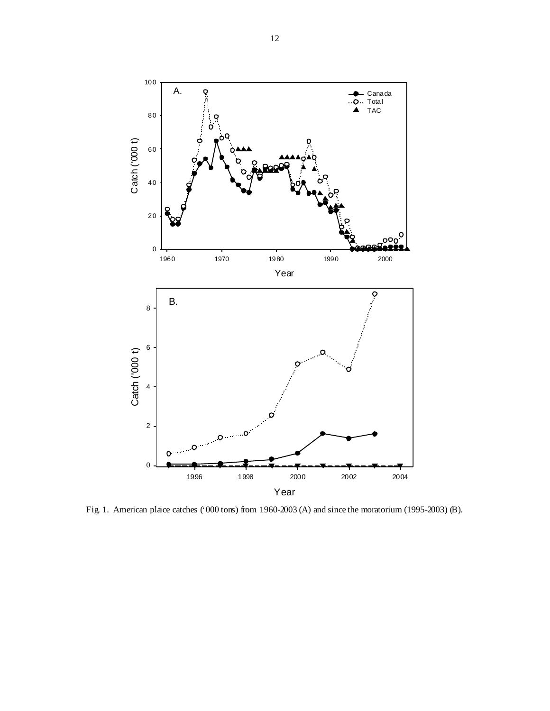

Fig. 1. American plaice catches ('000 tons) from 1960-2003 (A) and since the moratorium (1995-2003) (B).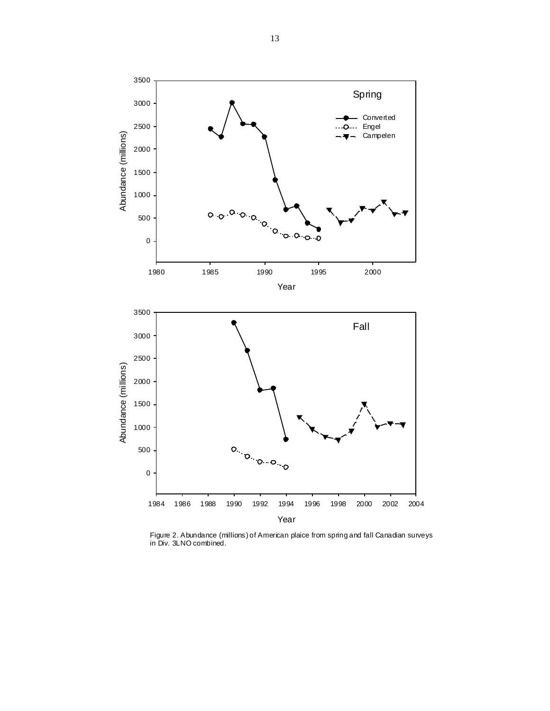

Figure 2. Abundance (millions) of American plaice from spring and fall Canadian surveys in Div. 3LNO combined.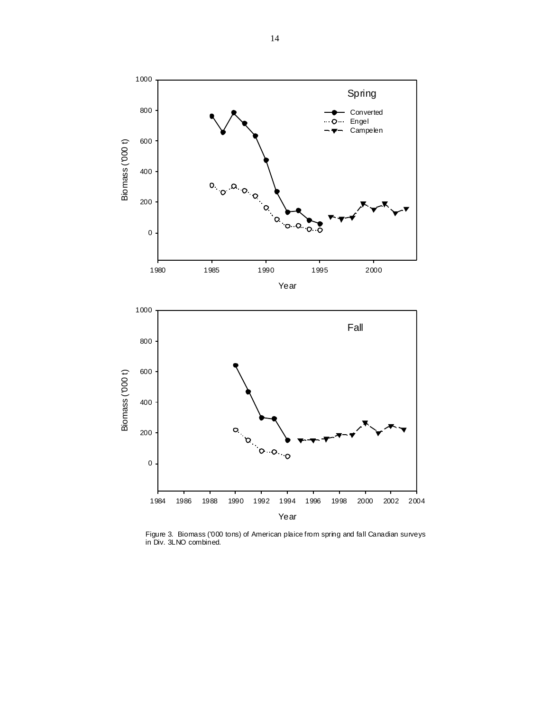

Figure 3. Biomass ('000 tons) of American plaice from spring and fall Canadian surveys in Div. 3LNO combined.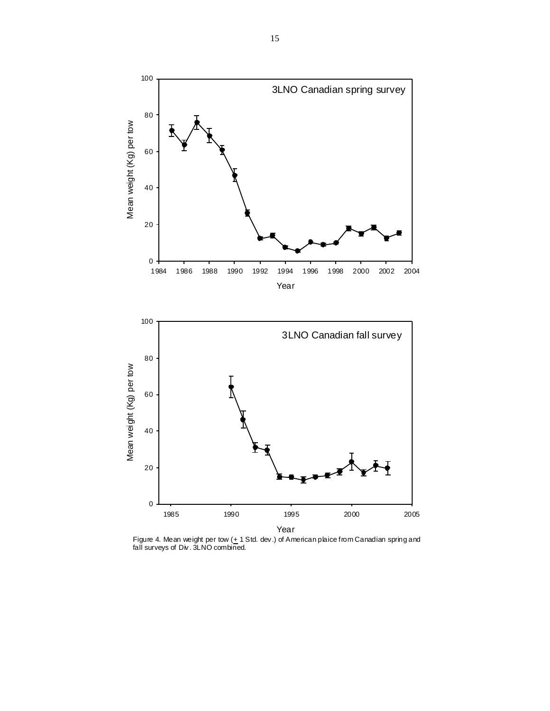

Figure 4. Mean weight per tow  $(\pm 1 \text{ Std.} \text{ dev.})$  of American plaice from Canadian spring and fall surveys of Div. 3LNO combined.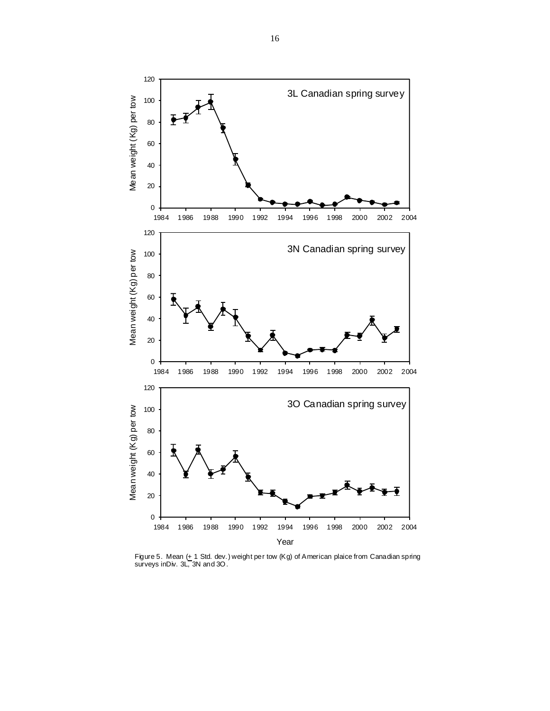

Figure 5. Mean (± 1 Std. dev.) weight per tow (Kg) of American plaice from Canadian spring<br>surveys inDiv. 3L, 3N and 3O.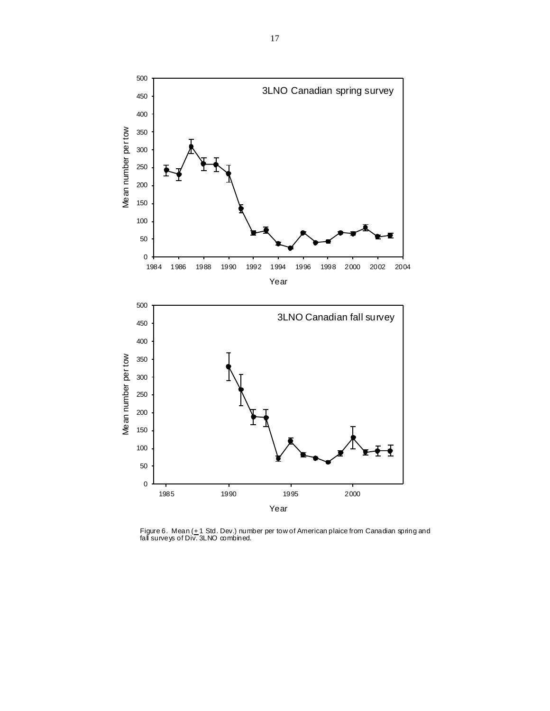

Figure 6.Mean (± 1 Std. Dev.) number per tow of American plaice from Canadian spring and<br>fall surveys of Div. 3LNO combined.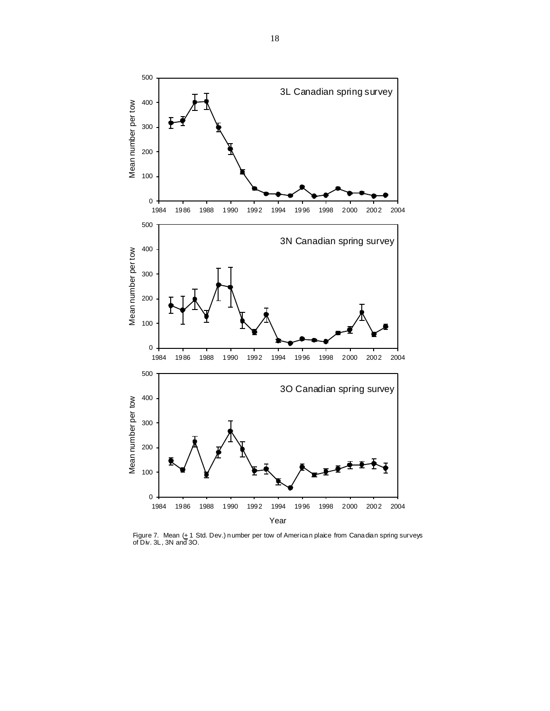

Figure 7. Mean (+ 1 Std. Dev.) number per tow of American plaice from Canadian spring surveys of Div. 3L, 3N and 3O.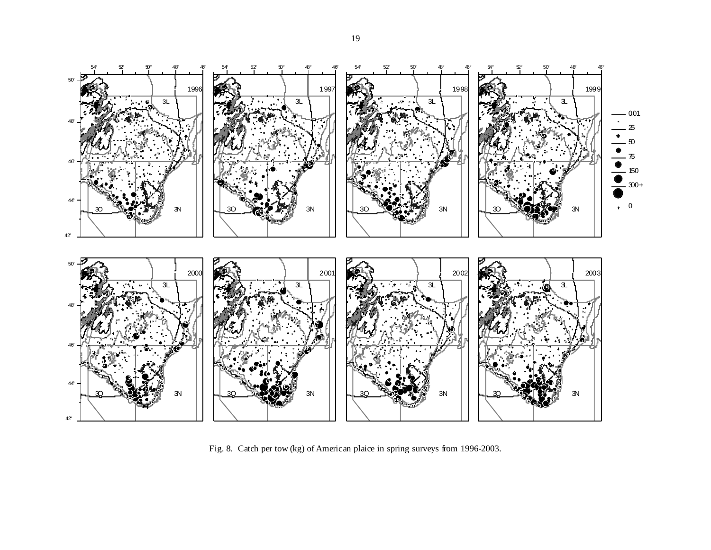

Fig. 8. Catch per tow (kg) of American plaice in spring surveys from 1996-2003.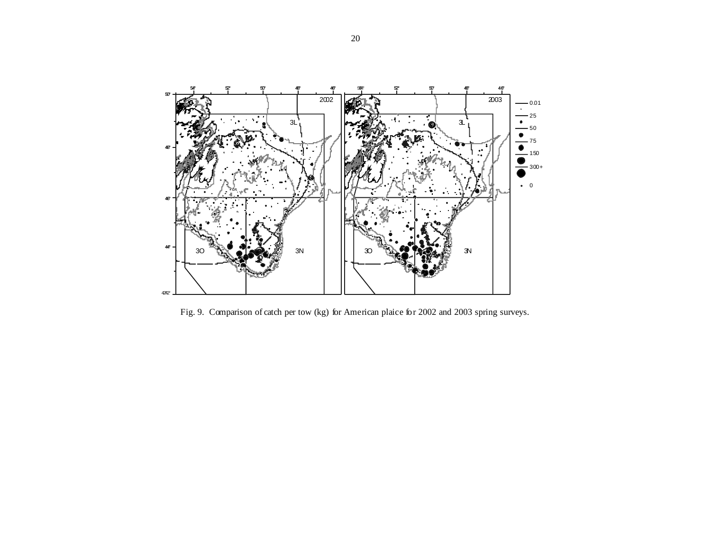

Fig. 9. Comparison of catch per tow (kg) for American plaice for 2002 and 2003 spring surveys.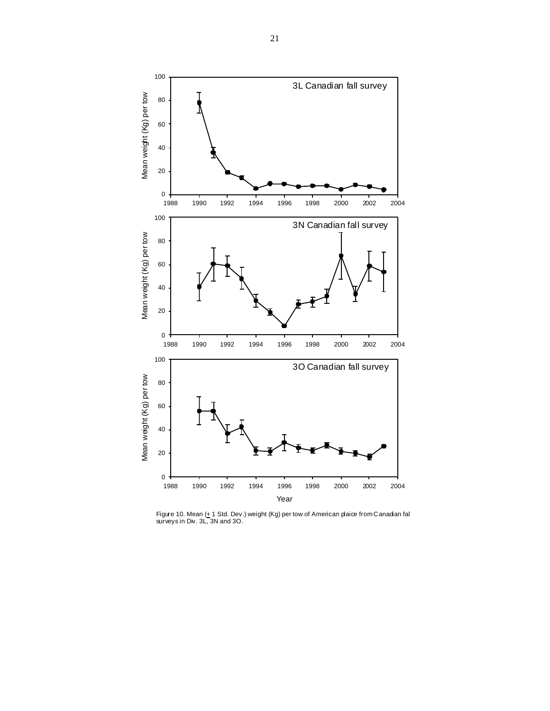

Figure 10. Mean (<u>+</u> 1 Std. Dev.) weight (Kg) per tow of American plaiœ from Canadian fal<br>surveys in Div. 3L, 3N and 3O.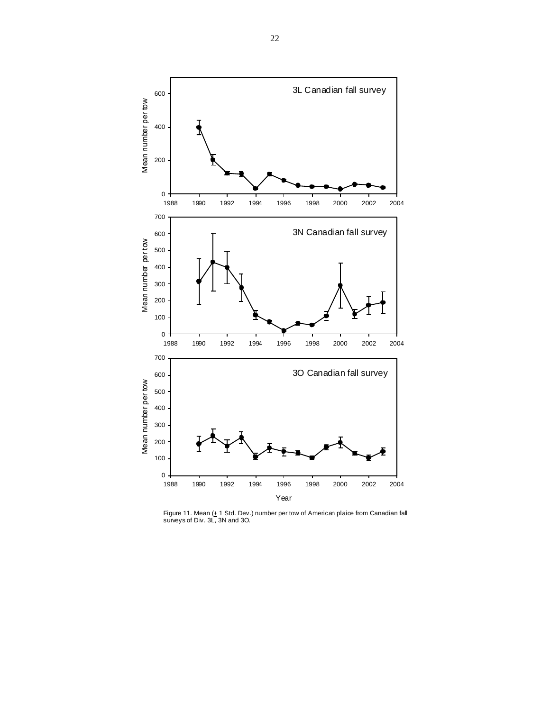

Figure 11. Mean (<u>+</u> 1 Std. Dev.) number per tow of American plaice from Canadian fall<br>surveys of Div. 3L, 3N and 3O.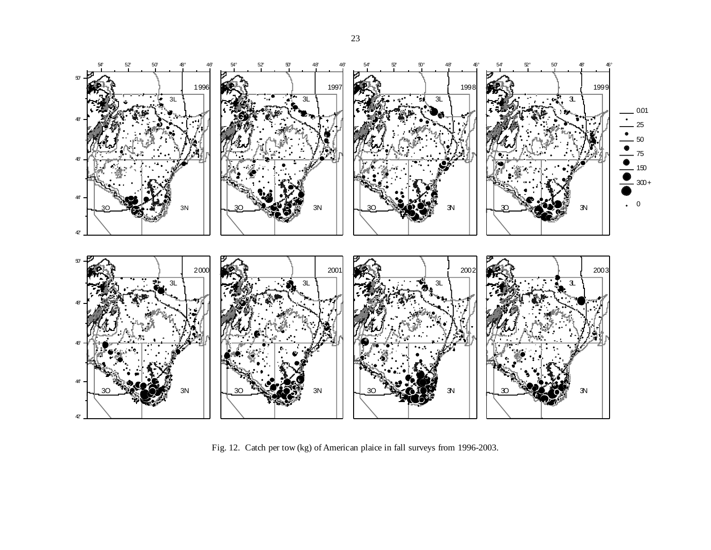

Fig. 12. Catch per tow (kg) of American plaice in fall surveys from 1996-2003.